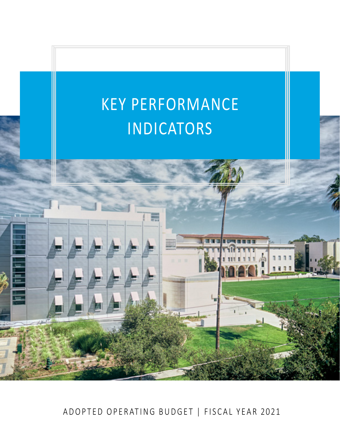# KEY PERFORMANCE **TRANSMITTAL INDICATORS**

ADOPTED OPERATING BUDGET | FISCAL YEAR 2021

酉

a a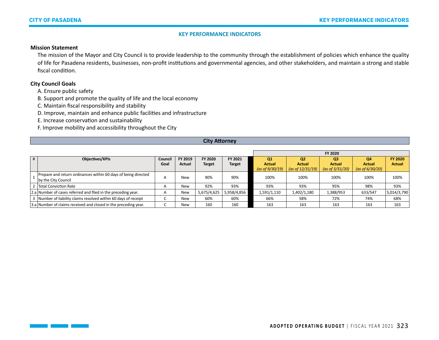#### **Mission Statement**

The mission of the Mayor and City Council is to provide leadership to the community through the establishment of policies which enhance the quality of life for Pasadena residents, businesses, non-profit institutions and governmental agencies, and other stakeholders, and maintain a strong and stable fiscal condition.

## **City Council Goals**

A. Ensure public safety

B. Support and promote the quality of life and the local economy

C. Maintain fiscal responsibility and stability

D. Improve, maintain and enhance public facilities and infrastructure

E. Increase conservation and sustainability

F. Improve mobility and accessibility throughout the City

## **City Attorney**

|   |                                                                 |                 |                   |               |               |                                 |                                 | FY 2020                         |                     |                                 |
|---|-----------------------------------------------------------------|-----------------|-------------------|---------------|---------------|---------------------------------|---------------------------------|---------------------------------|---------------------|---------------------------------|
| # | <b>Objectives/KPIs</b>                                          | Council<br>Goal | FY 2019<br>Actual | FY 2020       | FY 2021       | Q <sub>1</sub><br><b>Actual</b> | Q <sub>2</sub><br><b>Actual</b> | Q <sub>3</sub><br><b>Actual</b> | Q4<br><b>Actual</b> | <b>FY 2020</b><br><b>Actual</b> |
|   |                                                                 |                 |                   | <b>Target</b> | <b>Target</b> | (as of $9/30/19$ )              | (as of $12/31/19$ )             | (as of 3/31/20)                 | (as of $6/30/20$ )  |                                 |
|   | Prepare and return ordinances within 60 days of being directed  | $\overline{a}$  | <b>New</b>        | 90%           | 90%           | 100%                            | 100%                            | 100%                            | 100%                | 100%                            |
|   | by the City Council                                             |                 |                   |               |               |                                 |                                 |                                 |                     |                                 |
|   | 2 Total Conviction Rate                                         | $\overline{A}$  | <b>New</b>        | 92%           | 93%           | 93%                             | 93%                             | 95%                             | 98%                 | 93%                             |
|   | 2.a Number of cases referred and filed in the preceding year.   | $\overline{a}$  | New               | 5,675/4,625   | 5,958/4,856   | 1,591/1,110                     | 1,402/1,180                     | 1,388/953                       | 633/547             | 5,014/3,790                     |
|   | 3 Number of liability claims resolved within 60 days of receipt |                 | <b>New</b>        | 60%           | 60%           | 66%                             | 58%                             | 72%                             | 74%                 | 68%                             |
|   | 3.a Number of claims received and closed in the preceding year. |                 | <b>New</b>        | 160           | 160           | 163                             | 163                             | 163                             | 163                 | 163                             |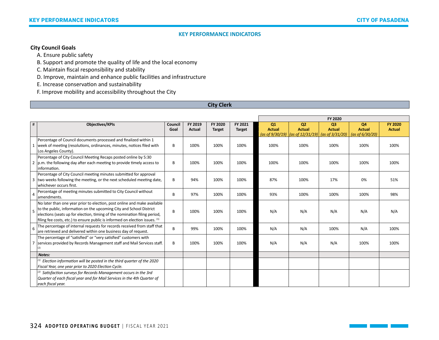# **City Council Goals**

A. Ensure public safety

B. Support and promote the quality of life and the local economy

C. Maintain fiscal responsibility and stability

D. Improve, maintain and enhance public facilities and infrastructure

E. Increase conservation and sustainability

F. Improve mobility and accessibility throughout the City

## **City Clerk**

|                |                                                                                                                                                                                                                                                                                                              |                 |                          |                          |                          | FY 2020             |                                                                                                                              |                                 |                     |                                 |
|----------------|--------------------------------------------------------------------------------------------------------------------------------------------------------------------------------------------------------------------------------------------------------------------------------------------------------------|-----------------|--------------------------|--------------------------|--------------------------|---------------------|------------------------------------------------------------------------------------------------------------------------------|---------------------------------|---------------------|---------------------------------|
| #              | <b>Objectives/KPIs</b>                                                                                                                                                                                                                                                                                       | Council<br>Goal | FY 2019<br><b>Actual</b> | FY 2020<br><b>Target</b> | FY 2021<br><b>Target</b> | Q1<br><b>Actual</b> | Q <sub>2</sub><br><b>Actual</b><br>(as of $9/30/19$ ) $\vert$ (as of $12/31/19$ ) (as of $3/31/20$ ) $\vert$ (as of 6/30/20) | O <sub>3</sub><br><b>Actual</b> | Q4<br><b>Actual</b> | <b>FY 2020</b><br><b>Actual</b> |
|                | Percentage of Council documents processed and finalized within 1<br>week of meeting (resolutions, ordinances, minutes, notices filed with<br>Los Angeles County).                                                                                                                                            | B               | 100%                     | 100%                     | 100%                     | 100%                | 100%                                                                                                                         | 100%                            | 100%                | 100%                            |
|                | Percentage of City Council Meeting Recaps posted online by 5:30<br>2 $ p.m.$ the following day after each meeting to provide timely access to<br>information.                                                                                                                                                | B               | 100%                     | 100%                     | 100%                     | 100%                | 100%                                                                                                                         | 100%                            | 100%                | 100%                            |
|                | Percentage of City Council meeting minutes submitted for approval<br>3 two weeks following the meeting, or the next scheduled meeting date,<br>whichever occurs first.                                                                                                                                       | B               | 94%                      | 100%                     | 100%                     | 87%                 | 100%                                                                                                                         | 17%                             | 0%                  | 51%                             |
| $\overline{4}$ | Percentage of meeting minutes submitted to City Council without<br>amendments.                                                                                                                                                                                                                               | B               | 97%                      | 100%                     | 100%                     | 93%                 | 100%                                                                                                                         | 100%                            | 100%                | 98%                             |
| 5              | No later than one year prior to election, post online and make available<br>to the public, information on the upcoming City and School District<br>elections (seats up for election, timing of the nomination filing period,<br>filing fee costs, etc.) to ensure public is informed on election issues. (1) | B               | 100%                     | 100%                     | 100%                     | N/A                 | N/A                                                                                                                          | N/A                             | N/A                 | N/A                             |
| 6              | The percentage of internal requests for records received from staff that<br>are retrieved and delivered within one business day of request.                                                                                                                                                                  | B               | 99%                      | 100%                     | 100%                     | N/A                 | N/A                                                                                                                          | 100%                            | N/A                 | 100%                            |
|                | The percentage of "satisfied" or "very satisfied" customers with<br>services provided by Records Management staff and Mail Services staff.                                                                                                                                                                   | B               | 100%                     | 100%                     | 100%                     | N/A                 | N/A                                                                                                                          | N/A                             | 100%                | 100%                            |
|                | Notes:                                                                                                                                                                                                                                                                                                       |                 |                          |                          |                          |                     |                                                                                                                              |                                 |                     |                                 |
|                | $^{(1)}$ Election information will be posted in the third quarter of the 2020<br>Fiscal Year, one year prior to 2020 Election Cycle.                                                                                                                                                                         |                 |                          |                          |                          |                     |                                                                                                                              |                                 |                     |                                 |
|                | $^{(2)}$ Satisfaction surveys for Records Management occurs in the 3rd<br>Quarter of each fiscal year and for Mail Services in the 4th Quarter of<br>each fiscal year.                                                                                                                                       |                 |                          |                          |                          |                     |                                                                                                                              |                                 |                     |                                 |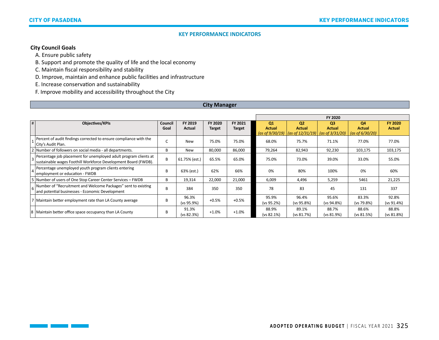# **City Council Goals**

 $\Box$ 

A. Ensure public safety

B. Support and promote the quality of life and the local economy

C. Maintain fiscal responsibility and stability

D. Improve, maintain and enhance public facilities and infrastructure

E. Increase conservation and sustainability

F. Improve mobility and accessibility throughout the City

## **City Manager**

|   |                                                                                                                                    |                 |                     |                          |                          |                                           |                                                                     | FY 2020                                               |                                                  |                                 |
|---|------------------------------------------------------------------------------------------------------------------------------------|-----------------|---------------------|--------------------------|--------------------------|-------------------------------------------|---------------------------------------------------------------------|-------------------------------------------------------|--------------------------------------------------|---------------------------------|
| # | <b>Objectives/KPIs</b>                                                                                                             | Council<br>Goal | FY 2019<br>Actual   | FY 2020<br><b>Target</b> | FY 2021<br><b>Target</b> | Q1<br><b>Actual</b><br>(as of $9/30/19$ ) | Q <sub>2</sub><br><b>Actual</b><br>$\vert$ (as of 12/31/19) $\vert$ | Q <sub>3</sub><br><b>Actual</b><br>(as of $3/31/20$ ) | <b>Q4</b><br><b>Actual</b><br>(as of $6/30/20$ ) | <b>FY 2020</b><br><b>Actual</b> |
|   | Percent of audit findings corrected to ensure compliance with the<br>City's Audit Plan.                                            |                 | New                 | 75.0%                    | 75.0%                    | 68.0%                                     | 75.7%                                                               | 71.1%                                                 | 77.0%                                            | 77.0%                           |
|   | 2 Number of followers on social media - all departments.                                                                           | B               | New                 | 80,000                   | 86,000                   | 79,264                                    | 82,943                                                              | 92,230                                                | 103,175                                          | 103,175                         |
|   | Percentage job placement for unemployed adult program clients at<br>sustainable wages Foothill Workforce Development Board (FWDB). | B               | 61.75% (est.)       | 65.5%                    | 65.0%                    | 75.0%                                     | 73.0%                                                               | 39.0%                                                 | 33.0%                                            | 55.0%                           |
|   | Percentage unemployed youth program clients entering<br>employment or education - FWDB                                             | R               | 63% (est.)          | 62%                      | 66%                      | 0%                                        | 80%                                                                 | 100%                                                  | 0%                                               | 60%                             |
|   | 5 Number of users of One Stop Career Center Services - FWDB                                                                        | B               | 19,314              | 22,000                   | 21,000                   | 6,009                                     | 4,496                                                               | 5,259                                                 | 5461                                             | 21,225                          |
|   | $\vert$ 6 Number of "Recruitment and Welcome Packages" sent to existing<br>and potential businesses - Economic Development         | B               | 384                 | 350                      | 350                      | 78                                        | 83                                                                  | 45                                                    | 131                                              | 337                             |
|   | 7 Maintain better employment rate than LA County average                                                                           | R               | 96.3%<br>(vs 95.9%) | $+0.5%$                  | $+0.5%$                  | 95.9%<br>(vs 95.2%)                       | 96.4%<br>(vs 95.8%)                                                 | 95.6%<br>(vs 94.8%)                                   | 83.3%<br>(vs 79.8%)                              | 92.8%<br>(vs 91.4%)             |
|   | 8   Maintain better office space occupancy than LA County                                                                          | B               | 91.3%<br>(vs 82.3%) | $+1.0%$                  | $+1.0%$                  | 88.9%<br>(vs 82.1%)                       | 89.1%<br>(vs 81.7%)                                                 | 88.7%<br>(vs 81.9%)                                   | 88.6%<br>(vs 81.5%)                              | 88.8%<br>(vs 81.8%)             |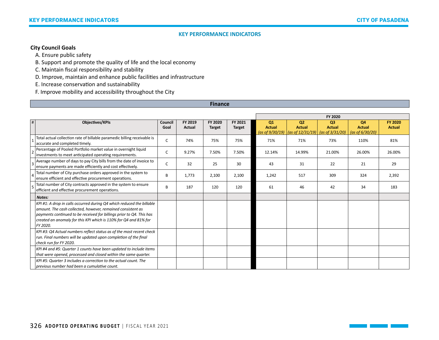# **City Council Goals**

A. Ensure public safety

B. Support and promote the quality of life and the local economy

C. Maintain fiscal responsibility and stability

D. Improve, maintain and enhance public facilities and infrastructure

E. Increase conservation and sustainability

F. Improve mobility and accessibility throughout the City

#### **Finance**

|   |                                                                                                                                                                                                                                                                                              |                 |                   |                          |                          |                                           |                                                                                     | FY 2020                         |                                                  |                                 |
|---|----------------------------------------------------------------------------------------------------------------------------------------------------------------------------------------------------------------------------------------------------------------------------------------------|-----------------|-------------------|--------------------------|--------------------------|-------------------------------------------|-------------------------------------------------------------------------------------|---------------------------------|--------------------------------------------------|---------------------------------|
| # | <b>Objectives/KPIs</b>                                                                                                                                                                                                                                                                       | Council<br>Goal | FY 2019<br>Actual | FY 2020<br><b>Target</b> | FY 2021<br><b>Target</b> | Q1<br><b>Actual</b><br>(as of $9/30/19$ ) | Q <sub>2</sub><br><b>Actual</b><br>$\vert$ (as of 12/31/19) $\vert$ (as of 3/31/20) | Q <sub>3</sub><br><b>Actual</b> | <b>Q4</b><br><b>Actual</b><br>(as of $6/30/20$ ) | <b>FY 2020</b><br><b>Actual</b> |
|   | Total actual collection rate of billable paramedic billing receivable is<br>accurate and completed timely.                                                                                                                                                                                   | С               | 74%               | 75%                      | 75%                      | 71%                                       | 71%                                                                                 | 73%                             | 110%                                             | 81%                             |
|   | Percentage of Pooled Portfolio market value in overnight liquid<br>investments to meet anticipated operating requirements.                                                                                                                                                                   | C               | 9.27%             | 7.50%                    | 7.50%                    | 12.14%                                    | 14.99%                                                                              | 21.00%                          | 26.00%                                           | 26.00%                          |
|   | Average number of days to pay City bills from the date of invoice to<br>ensure payments are made efficiently and cost effectively.                                                                                                                                                           | C               | 32                | 25                       | 30                       | 43                                        | 31                                                                                  | 22                              | 21                                               | 29                              |
|   | Total number of City purchase orders approved in the system to<br>ensure efficient and effective procurement operations.                                                                                                                                                                     | B               | 1,773             | 2,100                    | 2,100                    | 1,242                                     | 517                                                                                 | 309                             | 324                                              | 2,392                           |
|   | Total number of City contracts approved in the system to ensure<br>efficient and effective procurement operations.                                                                                                                                                                           | B               | 187               | 120                      | 120                      | 61                                        | 46                                                                                  | 42                              | 34                                               | 183                             |
|   | Notes:                                                                                                                                                                                                                                                                                       |                 |                   |                          |                          |                                           |                                                                                     |                                 |                                                  |                                 |
|   | KPI #1: A drop in calls occurred during Q4 which reduced the billable<br>amount. The cash collected, however, remained consistent as<br>payments continued to be received for billings prior to Q4. This has<br>created an anomaly for this KPI which is 110% for Q4 and 81% for<br>FY 2020. |                 |                   |                          |                          |                                           |                                                                                     |                                 |                                                  |                                 |
|   | KPI #3: Q4 Actual numbers reflect status as of the most recent check<br>run. Final numbers will be updated upon completion of the final<br>check run for FY 2020.                                                                                                                            |                 |                   |                          |                          |                                           |                                                                                     |                                 |                                                  |                                 |
|   | KPI #4 and #5: Quarter 1 counts have been updated to include items<br>that were opened, processed and closed within the same quarter.                                                                                                                                                        |                 |                   |                          |                          |                                           |                                                                                     |                                 |                                                  |                                 |
|   | KPI #5: Quarter 3 includes a correction to the actual count. The<br>previous number had been a cumulative count.                                                                                                                                                                             |                 |                   |                          |                          |                                           |                                                                                     |                                 |                                                  |                                 |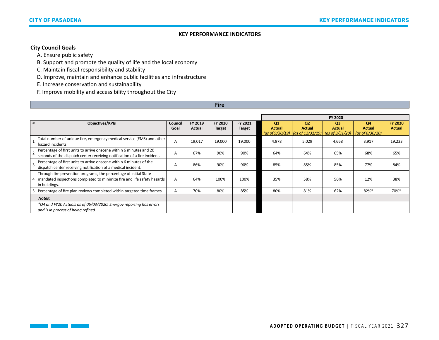# **City Council Goals**

 $\Box$ 

A. Ensure public safety

B. Support and promote the quality of life and the local economy

C. Maintain fiscal responsibility and stability

D. Improve, maintain and enhance public facilities and infrastructure

E. Increase conservation and sustainability

F. Improve mobility and accessibility throughout the City

## **Fire**

|   |                                                                                                                                                                 |                 |                   |                          |                          |                     |                                                                                                              | FY 2020                         |                                           |                                 |
|---|-----------------------------------------------------------------------------------------------------------------------------------------------------------------|-----------------|-------------------|--------------------------|--------------------------|---------------------|--------------------------------------------------------------------------------------------------------------|---------------------------------|-------------------------------------------|---------------------------------|
| # | Objectives/KPIs                                                                                                                                                 | Council<br>Goal | FY 2019<br>Actual | FY 2020<br><b>Target</b> | FY 2021<br><b>Target</b> | Q1<br><b>Actual</b> | Q <sub>2</sub><br><b>Actual</b><br>(as of $9/30/19$ ) $\vert$ (as of $12/31/19$ ) $\vert$ (as of $3/31/20$ ) | Q <sub>3</sub><br><b>Actual</b> | Q4<br><b>Actual</b><br>(as of $6/30/20$ ) | <b>FY 2020</b><br><b>Actual</b> |
|   | Total number of unique fire, emergency medical service (EMS) and other<br>hazard incidents.                                                                     | $\mathsf{A}$    | 19,017            | 19,000                   | 19,000                   | 4,978               | 5,029                                                                                                        | 4.668                           | 3,917                                     | 19,223                          |
|   | Percentage of first units to arrive onscene within 6 minutes and 20<br>seconds of the dispatch center receiving notification of a fire incident.                | A               | 67%               | 90%                      | 90%                      | 64%                 | 64%                                                                                                          | 65%                             | 68%                                       | 65%                             |
|   | Percentage of first units to arrive onscene within 6 minutes of the<br>dispatch center receiving notification of a medical incident.                            | A               | 86%               | 90%                      | 90%                      | 85%                 | 85%                                                                                                          | 85%                             | 77%                                       | 84%                             |
|   | Through fire prevention programs, the percentage of initial State<br>4 mandated inspections completed to minimize fire and life safety hazards<br>in buildings. | A               | 64%               | 100%                     | 100%                     | 35%                 | 58%                                                                                                          | 56%                             | 12%                                       | 38%                             |
| 5 | Percentage of fire plan reviews completed within targeted time frames.<br>Notes:                                                                                | A               | 70%               | 80%                      | 85%                      | 80%                 | 81%                                                                                                          | 62%                             | 82%*                                      | 70%*                            |
|   | *Q4 and FY20 Actuals as of 06/03/2020. Energov reporting has errors<br>and is in process of being refined.                                                      |                 |                   |                          |                          |                     |                                                                                                              |                                 |                                           |                                 |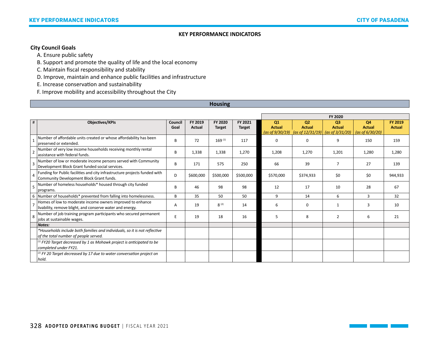# **City Council Goals**

A. Ensure public safety

B. Support and promote the quality of life and the local economy

C. Maintain fiscal responsibility and stability

D. Improve, maintain and enhance public facilities and infrastructure

E. Increase conservation and sustainability

F. Improve mobility and accessibility throughout the City

## **Housing**

|                |                                                                                                                         |                 |                          |                          |                          |                     |                                                           | FY 2020                         |                     |                                 |
|----------------|-------------------------------------------------------------------------------------------------------------------------|-----------------|--------------------------|--------------------------|--------------------------|---------------------|-----------------------------------------------------------|---------------------------------|---------------------|---------------------------------|
| #              | <b>Objectives/KPIs</b>                                                                                                  | Council<br>Goal | FY 2019<br><b>Actual</b> | FY 2020<br><b>Target</b> | FY 2021<br><b>Target</b> | Q1<br><b>Actual</b> | Q <sub>2</sub><br><b>Actual</b>                           | Q <sub>3</sub><br><b>Actual</b> | Q4<br><b>Actual</b> | <b>FY 2019</b><br><b>Actual</b> |
|                |                                                                                                                         |                 |                          |                          |                          |                     | (as of $9/30/19$ ) (as of $12/31/19$ ) (as of $3/31/20$ ) |                                 | (as of $6/30/20$ )  |                                 |
|                | Number of affordable units created or whose affordability has been<br>preserved or extended.                            | B               | 72                       | $169^{(1)}$              | 117                      | $\Omega$            | $\Omega$                                                  | 9                               | 150                 | 159                             |
|                | Number of very low income households receiving monthly rental<br>assistance with federal funds.                         | B               | 1,338                    | 1,338                    | 1,270                    | 1,208               | 1,270                                                     | 1,201                           | 1,280               | 1,280                           |
| Е              | Number of low or moderate income persons served with Community<br>Development Block Grant funded social services.       | B               | 171                      | 575                      | 250                      | 66                  | 39                                                        | 7                               | 27                  | 139                             |
| $\overline{a}$ | Funding for Public facilities and city infrastructure projects funded with<br>Community Development Block Grant funds.  | D               | \$600,000                | \$500,000                | \$500,000                | \$570,000           | \$374,933                                                 | \$0                             | \$0                 | 944,933                         |
|                | Number of homeless households* housed through city funded<br>programs.                                                  | <sub>B</sub>    | 46                       | 98                       | 98                       | 12                  | 17                                                        | 10                              | 28                  | 67                              |
|                | 6 Number of households* prevented from falling into homelessness.                                                       | B               | 35                       | 50                       | 50                       | 9                   | 14                                                        | 6                               | 3                   | 32                              |
|                | Homes of low to moderate income owners improved to enhance<br>livability, remove blight, and conserve water and energy. | A               | 19                       | $8^{(2)}$                | 14                       | 6                   | $\Omega$                                                  |                                 | з                   | 10                              |
| 8              | Number of job training program participants who secured permanent<br>jobs at sustainable wages.                         |                 | 19                       | 18                       | 16                       | 5                   | 8                                                         | $\overline{2}$                  | 6                   | 21                              |
|                | <b>Notes:</b>                                                                                                           |                 |                          |                          |                          |                     |                                                           |                                 |                     |                                 |
|                | *Households include both families and individuals, so it is not reflective                                              |                 |                          |                          |                          |                     |                                                           |                                 |                     |                                 |
|                | of the total number of people served.                                                                                   |                 |                          |                          |                          |                     |                                                           |                                 |                     |                                 |
|                | $^{(1)}$ FY20 Target decreased by 1 as Mohawk project is anticipated to be                                              |                 |                          |                          |                          |                     |                                                           |                                 |                     |                                 |
|                | completed under FY21.                                                                                                   |                 |                          |                          |                          |                     |                                                           |                                 |                     |                                 |
|                | $^{(2)}$ FY 20 Target decreased by 17 due to water conversation project on                                              |                 |                          |                          |                          |                     |                                                           |                                 |                     |                                 |
|                | hold.                                                                                                                   |                 |                          |                          |                          |                     |                                                           |                                 |                     |                                 |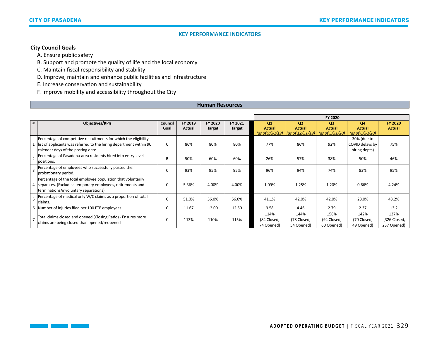# **City Council Goals**

 $\Box$ 

A. Ensure public safety

B. Support and promote the quality of life and the local economy

C. Maintain fiscal responsibility and stability

D. Improve, maintain and enhance public facilities and infrastructure

E. Increase conservation and sustainability

F. Improve mobility and accessibility throughout the City

#### **Human Resources**

|   |                                                                                                                                                                              |                 |                   |                          | FY 2020                  |                                           |                                                                    |                                                       |                                                 |                                     |  |
|---|------------------------------------------------------------------------------------------------------------------------------------------------------------------------------|-----------------|-------------------|--------------------------|--------------------------|-------------------------------------------|--------------------------------------------------------------------|-------------------------------------------------------|-------------------------------------------------|-------------------------------------|--|
| # | Objectives/KPIs                                                                                                                                                              | Council<br>Goal | FY 2019<br>Actual | FY 2020<br><b>Target</b> | FY 2021<br><b>Target</b> | Q1<br><b>Actual</b><br>(as of $9/30/19$ ) | Q <sub>2</sub><br><b>Actual</b><br>$\frac{1}{10}$ (as of 12/31/19) | Q <sub>3</sub><br><b>Actual</b><br>(as of $3/31/20$ ) | Q4<br><b>Actual</b><br>(as of $6/30/20$ )       | <b>FY 2020</b><br><b>Actual</b>     |  |
|   | Percentage of competitive recruitments for which the eligibility<br>list of applicants was referred to the hiring department within 90<br>calendar days of the posting date. |                 | 86%               | 80%                      | 80%                      | 77%                                       | 86%                                                                | 92%                                                   | 30% (due to<br>COVID delays by<br>hiring depts) | 75%                                 |  |
|   | Percentage of Pasadena-area residents hired into entry-level<br>positions.                                                                                                   | B               | 50%               | 60%                      | 60%                      | 26%                                       | 57%                                                                | 38%                                                   | 50%                                             | 46%                                 |  |
|   | Percentage of employees who successfully passed their<br>probationary period.                                                                                                |                 | 93%               | 95%                      | 95%                      | 96%                                       | 94%                                                                | 74%                                                   | 83%                                             | 95%                                 |  |
|   | Percentage of the total employee population that voluntarily<br>4 separates. (Excludes: temporary employees, retirements and<br>terminations/involuntary separations)        |                 | 5.36%             | 4.00%                    | 4.00%                    | 1.09%                                     | 1.25%                                                              | 1.20%                                                 | 0.66%                                           | 4.24%                               |  |
|   | Percentage of medical only W/C claims as a proportion of total<br>claims.                                                                                                    |                 | 51.0%             | 56.0%                    | 56.0%                    | 41.1%                                     | 42.0%                                                              | 42.0%                                                 | 28.0%                                           | 43.2%                               |  |
|   | 6 Number of injuries filed per 100 FTE employees.                                                                                                                            | C               | 11.67             | 12.00                    | 12.50                    | 3.58                                      | 4.46                                                               | 2.79                                                  | 2.37                                            | 13.2                                |  |
|   | Total claims closed and opened (Closing Ratio) - Ensures more<br>claims are being closed than opened/reopened                                                                |                 | 113%              | 110%                     | 115%                     | 114%<br>(84 Closed,<br>74 Opened)         | 144%<br>(78 Closed,<br>54 Opened)                                  | 156%<br>(94 Closed,<br>60 Opened)                     | 142%<br>(70 Closed,<br>49 Opened)               | 137%<br>(326 Closed,<br>237 Opened) |  |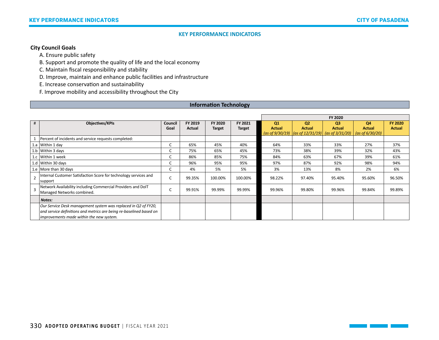# **City Council Goals**

A. Ensure public safety

B. Support and promote the quality of life and the local economy

C. Maintain fiscal responsibility and stability

D. Improve, maintain and enhance public facilities and infrastructure

E. Increase conservation and sustainability

F. Improve mobility and accessibility throughout the City

## **Information Technology**

|                         |                                                                                                                                                                                   |                 |                   |                          |                          |                     |                                                                                                                                  | FY 2020                         |                                           |                                 |
|-------------------------|-----------------------------------------------------------------------------------------------------------------------------------------------------------------------------------|-----------------|-------------------|--------------------------|--------------------------|---------------------|----------------------------------------------------------------------------------------------------------------------------------|---------------------------------|-------------------------------------------|---------------------------------|
| #                       | Objectives/KPIs                                                                                                                                                                   | Council<br>Goal | FY 2019<br>Actual | FY 2020<br><b>Target</b> | FY 2021<br><b>Target</b> | Q1<br><b>Actual</b> | Q <sub>2</sub><br><b>Actual</b><br>$\int \frac{1}{2}$ (as of 9/30/19) $\int \frac{1}{2}$ (as of 12/31/19) $\int$ (as of 3/31/20) | Q <sub>3</sub><br><b>Actual</b> | Q4<br><b>Actual</b><br>(as of $6/30/20$ ) | <b>FY 2020</b><br><b>Actual</b> |
|                         | Percent of incidents and service requests completed:                                                                                                                              |                 |                   |                          |                          |                     |                                                                                                                                  |                                 |                                           |                                 |
|                         | 1.a Within 1 day                                                                                                                                                                  |                 | 65%               | 45%                      | 40%                      | 64%                 | 33%                                                                                                                              | 33%                             | 27%                                       | 37%                             |
|                         | 1.b Within 3 days                                                                                                                                                                 |                 | 75%               | 65%                      | 45%                      | 73%                 | 38%                                                                                                                              | 39%                             | 32%                                       | 43%                             |
|                         | 1.c   Within 1 week                                                                                                                                                               |                 | 86%               | 85%                      | 75%                      | 84%                 | 63%                                                                                                                              | 67%                             | 39%                                       | 61%                             |
|                         | 1.d Within 30 days                                                                                                                                                                |                 | 96%               | 95%                      | 95%                      | 97%                 | 87%                                                                                                                              | 92%                             | 98%                                       | 94%                             |
|                         | 1.e More than 30 days                                                                                                                                                             |                 | 4%                | 5%                       | 5%                       | 3%                  | 13%                                                                                                                              | 8%                              | 2%                                        | 6%                              |
| $\mathcal{P}$           | Internal Customer Satisfaction Score for technology services and<br>support                                                                                                       |                 | 99.35%            | 100.00%                  | 100.00%                  | 98.22%              | 97.40%                                                                                                                           | 95.40%                          | 95.60%                                    | 96.50%                          |
| $\overline{\mathbf{a}}$ | Network Availability including Commercial Providers and DoIT<br>Managed Networks combined.                                                                                        |                 | 99.91%            | 99.99%                   | 99.99%                   | 99.96%              | 99.80%                                                                                                                           | 99.96%                          | 99.84%                                    | 99.89%                          |
|                         | Notes:                                                                                                                                                                            |                 |                   |                          |                          |                     |                                                                                                                                  |                                 |                                           |                                 |
|                         | Our Service Desk management system was replaced in Q2 of FY20,<br>and service definitions and metrics are being re-baselined based on<br>improvements made within the new system. |                 |                   |                          |                          |                     |                                                                                                                                  |                                 |                                           |                                 |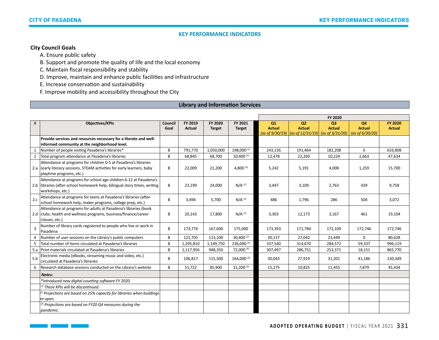# **City Council Goals**

T,

A. Ensure public safety

B. Support and promote the quality of life and the local economy

C. Maintain fiscal responsibility and stability

D. Improve, maintain and enhance public facilities and infrastructure

E. Increase conservation and sustainability

F. Improve mobility and accessibility throughout the City

## **Library and Information Services**

|          |                                                                                                                                                                        |                 |                          |                          |                          | FY 2020             |                                                                                                              |                     |                                           |                                 |
|----------|------------------------------------------------------------------------------------------------------------------------------------------------------------------------|-----------------|--------------------------|--------------------------|--------------------------|---------------------|--------------------------------------------------------------------------------------------------------------|---------------------|-------------------------------------------|---------------------------------|
| $\sharp$ | <b>Objectives/KPIs</b>                                                                                                                                                 | Council<br>Goal | FY 2019<br><b>Actual</b> | FY 2020<br><b>Target</b> | FY 2021<br><b>Target</b> | Q1<br><b>Actual</b> | Q <sub>2</sub><br><b>Actual</b><br>(as of $9/30/19$ ) $\vert$ (as of $12/31/19$ ) $\vert$ (as of $3/31/20$ ) | Q3<br><b>Actual</b> | Q4<br><b>Actual</b><br>(as of $6/30/20$ ) | <b>FY 2020</b><br><b>Actual</b> |
|          | Provide services and resources necessary for a literate and well-<br>informed community at the neighborhood level.                                                     |                 |                          |                          |                          |                     |                                                                                                              |                     |                                           |                                 |
| 1        | Number of people visiting Pasadena's libraries*                                                                                                                        | B               | 791,770                  | 1,050,000                | 198,000 <sup>(2)</sup>   | 243,136             | 191,464                                                                                                      | 182,208             | $\Omega$                                  | 616,808                         |
| 2        | Total program attendance at Pasadena's libraries                                                                                                                       | B               | 68,845                   | 68,700                   | $10,400^{(3)}$           | 12,478              | 22,269                                                                                                       | 10,224              | 2,663                                     | 47,634                          |
|          | Attendance at programs for children 0-5 at Pasadena's libraries<br>2.a (early literacy sessions, STEAM activities for early learners, baby<br>playtime programs, etc.) | B               | 22,009                   | 21,200                   | 4,800 $(3)$              | 5,242               | 5,191                                                                                                        | 4,008               | 1,259                                     | 15,700                          |
|          | Attendance at programs for school age children 6-12 at Pasadena's<br>2.b libraries (after-school homework help, bilingual story times, writing<br>workshops, etc.)     | B               | 23,199                   | 24,000                   | $N/A$ <sup>(1)</sup>     | 3,447               | 3,109                                                                                                        | 2,763               | 439                                       | 9,758                           |
| 2.c      | Attendance at programs for teens at Pasadena's libraries (after-<br>school homework help, maker programs, college prep, etc.)                                          | B               | 3,494                    | 5,700                    | $N/A$ <sup>(1)</sup>     | 486                 | 1,796                                                                                                        | 286                 | 504                                       | 3,072                           |
|          | Attendance at programs for adults at Pasadena's libraries (book<br>2.d clubs, health and wellness programs, business/finance/career<br>classes, etc.)                  | B               | 20,143                   | 17.800                   | $N/A$ <sup>(1)</sup>     | 3,303               | 12,173                                                                                                       | 3,167               | 461                                       | 19,104                          |
| 3        | Number of library cards registered to people who live or work in<br>Pasadena                                                                                           | B               | 173,776                  | 167,600                  | 175,000                  | 173,393             | 171,784                                                                                                      | 172,109             | 172,746                                   | 172,746                         |
| 4        | Number of user sessions on the Library's public computers                                                                                                              | B               | 121,705                  | 113,100                  | $30,400^{(2)}$           | 30,137              | 27,042                                                                                                       | 23,449              | $\Omega$                                  | 80,628                          |
| 5        | Total number of items circulated at Pasadena's libraries                                                                                                               | B               | 1,295,810                | 1,149,750                | 236,000 (3)              | 337,540             | 314,670                                                                                                      | 284,572             | 59,337                                    | 996,119                         |
|          | 5.a Print materials circulated at Pasadena's libraries                                                                                                                 | B               | 1,117,956                | 948,350                  | 72,000 (3)               | 307,497             | 286,751                                                                                                      | 253,371             | 18,151                                    | 865,770                         |
| 5.b      | Electronic media (eBooks, streaming music and video, etc.)<br>circulated at Pasadena's libraries                                                                       | B               | 106,817                  | 115,500                  | 164,000 (3)              | 30,043              | 27,919                                                                                                       | 31,201              | 41,186                                    | 130,349                         |
| 6        | Research database sessions conducted on the Library's website                                                                                                          | B               | 51,722                   | 85,900                   | $31,200$ <sup>(3)</sup>  | 15,275              | 10,825                                                                                                       | 11,455              | 7,879                                     | 45,434                          |
|          | Notes:                                                                                                                                                                 |                 |                          |                          |                          |                     |                                                                                                              |                     |                                           |                                 |
|          | *Introduced new digital counting software FY 2020.                                                                                                                     |                 |                          |                          |                          |                     |                                                                                                              |                     |                                           |                                 |
|          | $(1)$ These KPIs will be discontinued.                                                                                                                                 |                 |                          |                          |                          |                     |                                                                                                              |                     |                                           |                                 |
|          | $^{(2)}$ Projections are based on 25% capacity for libraries when buildings<br>re-open.                                                                                |                 |                          |                          |                          |                     |                                                                                                              |                     |                                           |                                 |
|          | $^{(3)}$ Projections are based on FY20 Q4 measures during the<br>pandemic.                                                                                             |                 |                          |                          |                          |                     |                                                                                                              |                     |                                           |                                 |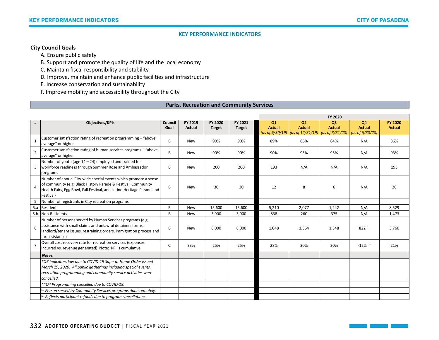# **City Council Goals**

A. Ensure public safety

B. Support and promote the quality of life and the local economy

C. Maintain fiscal responsibility and stability

D. Improve, maintain and enhance public facilities and infrastructure

E. Increase conservation and sustainability

F. Improve mobility and accessibility throughout the City

## **Parks, Recreation and Community Services**

|                |                                                                                                                                                                                                                        |                 |                   |                          |                          |                     |                                                                                                            | FY 2020                         |                                        |                                 |
|----------------|------------------------------------------------------------------------------------------------------------------------------------------------------------------------------------------------------------------------|-----------------|-------------------|--------------------------|--------------------------|---------------------|------------------------------------------------------------------------------------------------------------|---------------------------------|----------------------------------------|---------------------------------|
| #              | <b>Objectives/KPIs</b>                                                                                                                                                                                                 | Council<br>Goal | FY 2019<br>Actual | FY 2020<br><b>Target</b> | FY 2021<br><b>Target</b> | Q1<br><b>Actual</b> | Q <sub>2</sub><br><b>Actual</b><br>$\int \frac{1}{19}$ (as of 9/30/19) $\int \frac{1}{25}$ (as of 3/31/20) | Q <sub>3</sub><br><b>Actual</b> | Q4<br><b>Actual</b><br>(as of 6/30/20) | <b>FY 2020</b><br><b>Actual</b> |
| 1              | Customer satisfaction rating of recreation programming - "above<br>average" or higher                                                                                                                                  | B               | <b>New</b>        | 90%                      | 90%                      | 89%                 | 86%                                                                                                        | 84%                             | N/A                                    | 86%                             |
| $\overline{2}$ | Customer satisfaction rating of human services programs - "above<br>average" or higher                                                                                                                                 | B               | <b>New</b>        | 90%                      | 90%                      | 90%                 | 95%                                                                                                        | 95%                             | N/A                                    | 93%                             |
| 3              | Number of youth (age $14 - 24$ ) employed and trained for<br>workforce readiness through Summer Rose and Ambassador<br>programs                                                                                        | В               | <b>New</b>        | 200                      | 200                      | 193                 | N/A                                                                                                        | N/A                             | N/A                                    | 193                             |
|                | Number of annual City-wide special events which promote a sense<br>of community (e.g. Black History Parade & Festival, Community<br>Health Fairs, Egg Bowl, Fall Festival, and Latino Heritage Parade and<br>Festival) | B               | <b>New</b>        | 30                       | 30                       | 12                  | 8                                                                                                          | 6                               | N/A                                    | 26                              |
|                | Number of registrants in City recreation programs                                                                                                                                                                      |                 |                   |                          |                          |                     |                                                                                                            |                                 |                                        |                                 |
| 5.a            | Residents                                                                                                                                                                                                              | B               | <b>New</b>        | 15,600                   | 15,600                   | 5,210               | 2,077                                                                                                      | 1,242                           | N/A                                    | 8,529                           |
|                | 5.b   Non-Residents                                                                                                                                                                                                    | B               | New               | 3,900                    | 3,900                    | 838                 | 260                                                                                                        | 375                             | N/A                                    | 1,473                           |
| 6              | Number of persons served by Human Services programs (e.g.<br>assistance with small claims and unlawful detainers forms,<br>landlord/tenant issues, restraining orders, immigration process and<br>tax assistance)      | B               | <b>New</b>        | 8,000                    | 8,000                    | 1,048               | 1,364                                                                                                      | 1,348                           | 822(1)                                 | 3,760                           |
| $\overline{7}$ | Overall cost recovery rate for recreation services (expenses<br>incurred vs. revenue generated) Note: KPI is cumulative                                                                                                | C               | 33%               | 25%                      | 25%                      | 28%                 | 30%                                                                                                        | 30%                             | $-12\%$ <sup>(2)</sup>                 | 21%                             |
|                | Notes:                                                                                                                                                                                                                 |                 |                   |                          |                          |                     |                                                                                                            |                                 |                                        |                                 |
|                | *Q3 indicators low due to COVID-19 Safer at Home Order issued<br>March 19, 2020. All public gatherings including special events,<br>recreation programming and community service activities were<br>cancelled.         |                 |                   |                          |                          |                     |                                                                                                            |                                 |                                        |                                 |
|                | ** Q4 Programming cancelled due to COVID-19.                                                                                                                                                                           |                 |                   |                          |                          |                     |                                                                                                            |                                 |                                        |                                 |
|                | $^{(1)}$ Person served by Community Services programs done remotely.                                                                                                                                                   |                 |                   |                          |                          |                     |                                                                                                            |                                 |                                        |                                 |
|                | $^{(2)}$ Reflects participant refunds due to program cancellations.                                                                                                                                                    |                 |                   |                          |                          |                     |                                                                                                            |                                 |                                        |                                 |

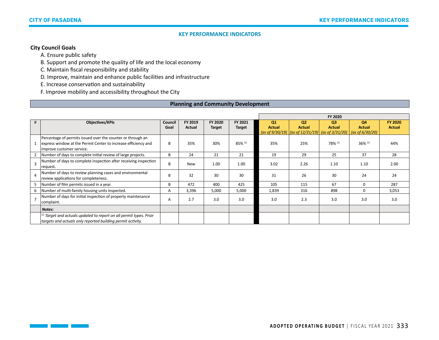# **City Council Goals**

T,

A. Ensure public safety

B. Support and promote the quality of life and the local economy

C. Maintain fiscal responsibility and stability

D. Improve, maintain and enhance public facilities and infrastructure

E. Increase conservation and sustainability

F. Improve mobility and accessibility throughout the City

## **Planning and Community Development**

|   |                                                                                                                                                            |                 |                   |                          |                          |                     |                                                                                                          | FY 2020                         |                                           |                                 |
|---|------------------------------------------------------------------------------------------------------------------------------------------------------------|-----------------|-------------------|--------------------------|--------------------------|---------------------|----------------------------------------------------------------------------------------------------------|---------------------------------|-------------------------------------------|---------------------------------|
| # | Objectives/KPIs                                                                                                                                            | Council<br>Goal | FY 2019<br>Actual | FY 2020<br><b>Target</b> | FY 2021<br><b>Target</b> | Q1<br><b>Actual</b> | Q <sub>2</sub><br><b>Actual</b><br>$\int \frac{1}{9}$ (as of 9/30/19) $\int \frac{1}{2}$ (as of 3/31/20) | Q <sub>3</sub><br><b>Actual</b> | Q4<br><b>Actual</b><br>(as of $6/30/20$ ) | <b>FY 2020</b><br><b>Actual</b> |
|   | Percentage of permits issued over the counter or through an<br>express window at the Permit Center to increase efficiency and<br>improve customer service. | B               | 35%               | 30%                      | 85% (1)                  | 35%                 | 25%                                                                                                      | 78% (1)                         | $36\%$ <sup>(1)</sup>                     | 44%                             |
|   | Number of days to complete initial review of large projects.                                                                                               | B               | 24                | 21                       | 21                       | 19                  | 29                                                                                                       | 25                              | 37                                        | 28                              |
|   | Number of days to complete inspection after receiving inspection<br>request.                                                                               | B               | <b>New</b>        | 1.00                     | 1.00                     | 3.02                | 2.26                                                                                                     | 1.10                            | 1.10                                      | 2.00                            |
|   | Number of days to review planning cases and environmental<br>review applications for completeness.                                                         | B               | 32                | 30                       | 30                       | 31                  | 26                                                                                                       | 30                              | 24                                        | 24                              |
|   | Number of film permits issued in a year.                                                                                                                   | B               | 472               | 400                      | 425                      | 105                 | 115                                                                                                      | 67                              | $\Omega$                                  | 287                             |
| 6 | Number of multi-family housing units inspected.                                                                                                            | Α               | 3,396             | 5,000                    | 5,000                    | 1,839               | 316                                                                                                      | 898                             | $\Omega$                                  | 3,053                           |
|   | Number of days for initial inspection of property maintenance<br>complaint.                                                                                | Α               | 2.7               | 3.0                      | 3.0                      | 3.0                 | 2.3                                                                                                      | 3.0                             | 3.0                                       | 3.0                             |
|   | Notes:                                                                                                                                                     |                 |                   |                          |                          |                     |                                                                                                          |                                 |                                           |                                 |
|   | <sup>(1)</sup> Target and actuals updated to report on all permit types. Prior<br>targets and actuals only reported building permit activity.              |                 |                   |                          |                          |                     |                                                                                                          |                                 |                                           |                                 |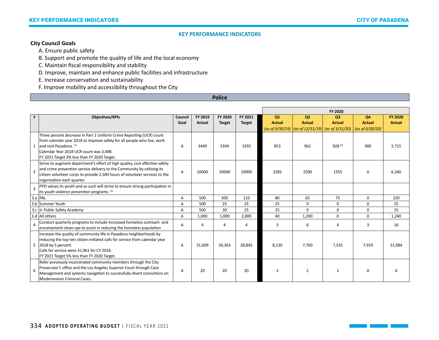## **City Council Goals**

A. Ensure public safety

B. Support and promote the quality of life and the local economy

C. Maintain fiscal responsibility and stability

D. Improve, maintain and enhance public facilities and infrastructure

E. Increase conservation and sustainability

F. Improve mobility and accessibility throughout the City

## **Police**

|                |                                                                                                                                                        |         |         |               |                |               |                                                            | FY 2020        |                    |                |
|----------------|--------------------------------------------------------------------------------------------------------------------------------------------------------|---------|---------|---------------|----------------|---------------|------------------------------------------------------------|----------------|--------------------|----------------|
| $\#$           | <b>Objectives/KPIs</b>                                                                                                                                 | Council | FY 2019 | FY 2020       | FY 2021        | Q1            | O <sub>2</sub>                                             | Q <sub>3</sub> | Q4                 | <b>FY 2020</b> |
|                |                                                                                                                                                        | Goal    | Actual  | <b>Target</b> | <b>Target</b>  | <b>Actual</b> | <b>Actual</b>                                              | <b>Actual</b>  | <b>Actual</b>      | <b>Actual</b>  |
|                |                                                                                                                                                        |         |         |               |                |               | (as of $9/30/19$ ) $ (as of 12/31/19) $ (as of $3/31/20$ ) |                | (as of $6/30/20$ ) |                |
|                | Three percent decrease in Part 1 Uniform Crime Reporting (UCR) count                                                                                   |         |         |               |                |               |                                                            |                |                    |                |
|                | from calendar year 2018 to improve safety for all people who live, work                                                                                |         |         |               |                |               |                                                            |                |                    |                |
|                | 1 and visit Pasadena. $(1)$                                                                                                                            | A       | 3449    | 3394          | 3292           | 853           | 962                                                        | $928^{(3)}$    | 900                | 2,715          |
|                | Calendar Year 2018 UCR count was 3,498.                                                                                                                |         |         |               |                |               |                                                            |                |                    |                |
|                | FY 2021 Target 3% less than FY 2020 Target.                                                                                                            |         |         |               |                |               |                                                            |                |                    |                |
|                | Strive to augment department's effort of high quality, cost effective safety                                                                           |         |         |               |                |               |                                                            |                |                    |                |
| $\overline{2}$ | and crime prevention service delivery to the Community by utilizing its<br>citizen volunteer corps to provide 2,500 hours of volunteer services to the | A       | 10000   | 10000         | 10000          | 2285          | 2500                                                       | 1555           | $\Omega$           | 6,340          |
|                | organization each quarter.                                                                                                                             |         |         |               |                |               |                                                            |                |                    |                |
|                | PPD values its youth and as such will strive to ensure strong participation in                                                                         |         |         |               |                |               |                                                            |                |                    |                |
| $\overline{3}$ | its youth violence prevention programs. (2)                                                                                                            |         |         |               |                |               |                                                            |                |                    |                |
|                | $3.a$ PAL                                                                                                                                              | А       | 500     | 300           | 110            | 80            | 65                                                         | 75             | $\Omega$           | 220            |
|                | 3.b Summer Youth                                                                                                                                       | A       | 500     | 25            | 25             | 25            | $\mathbf 0$                                                | $\Omega$       | $\Omega$           | 25             |
|                | 3.c Jr. Public Safety Academy                                                                                                                          | A       | 500     | 30            | 25             | 25            | $\Omega$                                                   | $\Omega$       | $\Omega$           | 25             |
|                | 3.d All others                                                                                                                                         | A       | 1,000   | 1,000         | 2,000          | 40            | 1,200                                                      | $\Omega$       | $\Omega$           | 1,240          |
|                | Conduct quarterly programs to include increased homeless outreach and                                                                                  | Α       | 4       | 4             | $\overline{4}$ | 3             | 6                                                          | $\overline{4}$ | 3                  | 16             |
|                | encampment clean-ups to assist in reducing the homeless population                                                                                     |         |         |               |                |               |                                                            |                |                    |                |
|                | Increase the quality of community life in Pasadena neighborhoods by                                                                                    |         |         |               |                |               |                                                            |                |                    |                |
|                | reducing the top-ten citizen initiated calls for service from calendar year                                                                            |         |         |               |                |               |                                                            |                |                    |                |
|                | 5 2018 by 5 percent.                                                                                                                                   | A       | 31,609  | 30,363        | 28,845         | 8,130         | 7,700                                                      | 7,335          | 7,919              | 31,084         |
|                | Calls for service were 31,961 for CY 2018.                                                                                                             |         |         |               |                |               |                                                            |                |                    |                |
|                | FY 2021 Target 5% less than FY 2020 Target.                                                                                                            |         |         |               |                |               |                                                            |                |                    |                |
|                | Refer previously incarcerated community members through the City                                                                                       |         |         |               |                |               |                                                            |                |                    |                |
| 6              | Prosecutor's office and the Los Angeles Superior Court through Case                                                                                    | A       | 20      | 20            | 20             | 3             | $\overline{2}$                                             | $\mathbf{1}$   | $\Omega$           |                |
|                | Management and systems navigation to successfully divert convictions on                                                                                |         |         |               |                |               |                                                            |                |                    |                |
|                | Misdemeanor Criminal Cases.                                                                                                                            |         |         |               |                |               |                                                            |                |                    |                |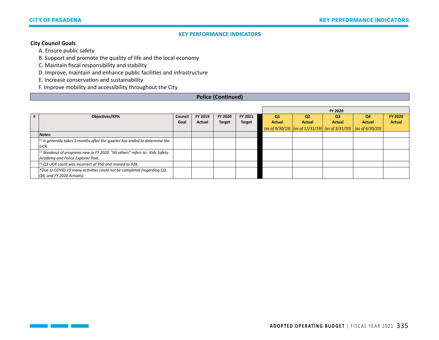## **City Council Goals**

T.

A. Ensure public safety

B. Support and promote the quality of life and the local economy

C. Maintain fiscal responsibility and stability

D. Improve, maintain and enhance public facilities and infrastructure

E. Increase conservation and sustainability

F. Improve mobility and accessibility throughout the City

## **Police (Continued)**

|   |                                                                                         |         |         |               |               |                |                | FY 2020        |                                                                                                            |                |
|---|-----------------------------------------------------------------------------------------|---------|---------|---------------|---------------|----------------|----------------|----------------|------------------------------------------------------------------------------------------------------------|----------------|
| # | Objectives/KPIs                                                                         | Council | FY 2019 | FY 2020       | FY 2021       | Q <sub>1</sub> | Q <sub>2</sub> | O <sub>3</sub> | <b>Q4</b>                                                                                                  | <b>FY 2020</b> |
|   |                                                                                         | Goal    | Actual  | <b>Target</b> | <b>Target</b> | <b>Actual</b>  | <b>Actual</b>  | <b>Actual</b>  | <b>Actual</b>                                                                                              | <b>Actual</b>  |
|   |                                                                                         |         |         |               |               |                |                |                | $\frac{1}{1}$ (as of 9/30/19) $\frac{1}{1}$ (as of 12/31/19) (as of 3/31/20) $\frac{1}{1}$ (as of 6/30/20) |                |
|   | Notes:                                                                                  |         |         |               |               |                |                |                |                                                                                                            |                |
|   | $^{(1)}$ It generally takes 3 months after the quarter has ended to determine the       |         |         |               |               |                |                |                |                                                                                                            |                |
|   | UCR.                                                                                    |         |         |               |               |                |                |                |                                                                                                            |                |
|   | <sup>(2)</sup> Breakout of programs new in FY 2020. "All others" refers to: Kids Safety |         |         |               |               |                |                |                |                                                                                                            |                |
|   | Academy and Police Explorer Post.                                                       |         |         |               |               |                |                |                |                                                                                                            |                |
|   | $^{(3)}$ Q3 UCR count was incorrect at 950 and revised to 928.                          |         |         |               |               |                |                |                |                                                                                                            |                |
|   | *Due to COVID-19 many activities could not be completed (regarding Q3,                  |         |         |               |               |                |                |                |                                                                                                            |                |
|   | $\overline{Q4}$ , and FY 2020 Actuals).                                                 |         |         |               |               |                |                |                |                                                                                                            |                |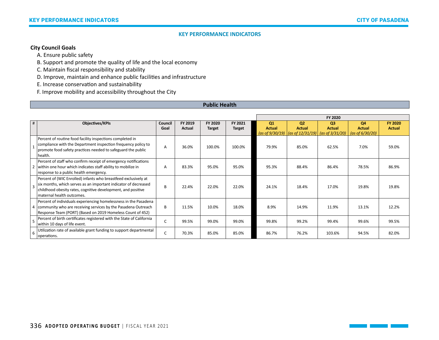# **City Council Goals**

A. Ensure public safety

B. Support and promote the quality of life and the local economy

C. Maintain fiscal responsibility and stability

D. Improve, maintain and enhance public facilities and infrastructure

E. Increase conservation and sustainability

F. Improve mobility and accessibility throughout the City

## **Public Health**

|   |                                                                                                                                                                                                                                 |                 |                   |                          |                          |                                           |                                                                     | FY 2020                                            |                                                  |                                 |
|---|---------------------------------------------------------------------------------------------------------------------------------------------------------------------------------------------------------------------------------|-----------------|-------------------|--------------------------|--------------------------|-------------------------------------------|---------------------------------------------------------------------|----------------------------------------------------|--------------------------------------------------|---------------------------------|
| # | <b>Objectives/KPIs</b>                                                                                                                                                                                                          | Council<br>Goal | FY 2019<br>Actual | FY 2020<br><b>Target</b> | FY 2021<br><b>Target</b> | Q1<br><b>Actual</b><br>(as of $9/30/19$ ) | O <sub>2</sub><br><b>Actual</b><br>$\vert$ (as of 12/31/19) $\vert$ | Q <sub>3</sub><br><b>Actual</b><br>(as of 3/31/20) | <b>Q4</b><br><b>Actual</b><br>(as of $6/30/20$ ) | <b>FY 2020</b><br><b>Actual</b> |
|   | Percent of routine food facility inspections completed in<br>compliance with the Department inspection frequency policy to<br>promote food safety practices needed to safeguard the public<br>health.                           | A               | 36.0%             | 100.0%                   | 100.0%                   | 79.9%                                     | 85.0%                                                               | 62.5%                                              | 7.0%                                             | 59.0%                           |
|   | Percent of staff who confirm receipt of emergency notifications<br>within one hour which indicates staff ability to mobilize in<br>response to a public health emergency.                                                       | A               | 83.3%             | 95.0%                    | 95.0%                    | 95.3%                                     | 88.4%                                                               | 86.4%                                              | 78.5%                                            | 86.9%                           |
|   | Percent of (WIC Enrolled) infants who breastfeed exclusively at<br>six months, which serves as an important indicator of decreased<br>childhood obesity rates, cognitive development, and positive<br>maternal health outcomes. | B               | 22.4%             | 22.0%                    | 22.0%                    | 24.1%                                     | 18.4%                                                               | 17.0%                                              | 19.8%                                            | 19.8%                           |
|   | Percent of individuals experiencing homelessness in the Pasadena<br>4   community who are receiving services by the Pasadena Outreach<br>Response Team (PORT) (Based on 2019 Homeless Count of 452)                             | B.              | 11.5%             | 10.0%                    | 18.0%                    | 8.9%                                      | 14.9%                                                               | 11.9%                                              | 13.1%                                            | 12.2%                           |
|   | Percent of birth certificates registered with the State of California<br>within 10 days of life event.                                                                                                                          | C               | 99.5%             | 99.0%                    | 99.0%                    | 99.8%                                     | 99.2%                                                               | 99.4%                                              | 99.6%                                            | 99.5%                           |
|   | Utilization rate of available grant funding to support departmental<br>operations.                                                                                                                                              | C               | 70.3%             | 85.0%                    | 85.0%                    | 86.7%                                     | 76.2%                                                               | 103.6%                                             | 94.5%                                            | 82.0%                           |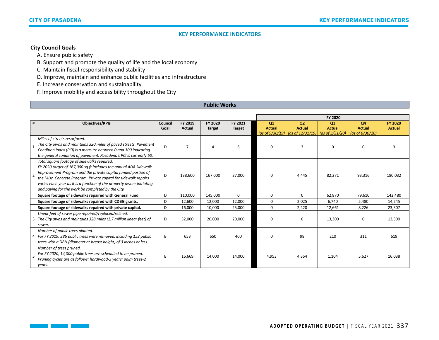# **City Council Goals**

 $\Box$ 

A. Ensure public safety

B. Support and promote the quality of life and the local economy

C. Maintain fiscal responsibility and stability

D. Improve, maintain and enhance public facilities and infrastructure

E. Increase conservation and sustainability

F. Improve mobility and accessibility throughout the City

## **Public Works**

|                          |                                                                                                                                                                                                                                                                                                                                                                                    |                 |                          |                          |                          |                                        |                                                                                    | FY 2020                         |                                                      |                                 |
|--------------------------|------------------------------------------------------------------------------------------------------------------------------------------------------------------------------------------------------------------------------------------------------------------------------------------------------------------------------------------------------------------------------------|-----------------|--------------------------|--------------------------|--------------------------|----------------------------------------|------------------------------------------------------------------------------------|---------------------------------|------------------------------------------------------|---------------------------------|
| #                        | Objectives/KPIs                                                                                                                                                                                                                                                                                                                                                                    | Council<br>Goal | FY 2019<br><b>Actual</b> | FY 2020<br><b>Target</b> | FY 2021<br><b>Target</b> | Q1<br><b>Actual</b><br>(as of 9/30/19) | Q <sub>2</sub><br><b>Actual</b><br>$\frac{1}{10}$ (as of 12/31/19) (as of 3/31/20) | Q <sub>3</sub><br><b>Actual</b> | Q4<br><b>Actual</b><br>$\frac{1}{1}$ (as of 6/30/20) | <b>FY 2020</b><br><b>Actual</b> |
|                          | Miles of streets resurfaced.<br>The City owns and maintains 320 miles of paved streets. Pavement<br>Condition Index (PCI) is a measure between 0 and 100 indicating<br>the general condition of pavement. Pasadena's PCI is currently 60.                                                                                                                                          | D               |                          |                          | 6                        | $\Omega$                               | $\mathbf{3}$                                                                       | $\Omega$                        | $\Omega$                                             |                                 |
| $\overline{\phantom{a}}$ | Total square footage of sidewalks repaired.<br>FY 2020 target of 167,000 sq ft includes the annual ADA Sidewalk<br>Improvement Program and the private capital funded portion of<br>the Misc. Concrete Program. Private capital for sidewalk repairs<br>varies each year as it is a function of the property owner initiating<br>and paying for the work be completed by the City. | D               | 138,600                  | 167,000                  | 37,000                   | $\Omega$                               | 4,445                                                                              | 82,271                          | 93,316                                               | 180,032                         |
|                          | Square footage of sidewalks repaired with General Fund.                                                                                                                                                                                                                                                                                                                            | D               | 110,000                  | 145,000                  | 0                        | $\Omega$                               | $\Omega$                                                                           | 62,870                          | 79,610                                               | 142,480                         |
|                          | Square footage of sidewalks repaired with CDBG grants.                                                                                                                                                                                                                                                                                                                             | D               | 12,600                   | 12,000                   | 12,000                   | $\Omega$                               | 2,025                                                                              | 6,740                           | 5,480                                                | 14,245                          |
|                          | Square footage of sidewalks repaired with private capital.                                                                                                                                                                                                                                                                                                                         | D               | 16,000                   | 10.000                   | 25,000                   | $\Omega$                               | 2,420                                                                              | 12,661                          | 8,226                                                | 23,307                          |
| 3                        | Linear feet of sewer pipe repaired/replaced/relined.<br>The City owns and maintains 328 miles (1.7 million linear feet) of<br>sewer.                                                                                                                                                                                                                                               | D               | 32,000                   | 20,000                   | 20,000                   | $\Omega$                               | $\mathbf 0$                                                                        | 13,300                          | $\mathbf 0$                                          | 13,300                          |
|                          | Number of public trees planted.<br>4   For FY 2019, 386 public trees were removed, including 152 public<br>trees with a DBH (diameter at breast height) of 3 inches or less.                                                                                                                                                                                                       | B               | 653                      | 650                      | 400                      | $\Omega$                               | 98                                                                                 | 210                             | 311                                                  | 619                             |
| 5                        | Number of trees pruned.<br>For FY 2020, 14,000 public trees are scheduled to be pruned.<br>Pruning cycles are as follows: hardwood-3 years; palm trees-2<br>years.                                                                                                                                                                                                                 | B               | 16,669                   | 14,000                   | 14,000                   | 4,953                                  | 4,354                                                                              | 1,104                           | 5,627                                                | 16,038                          |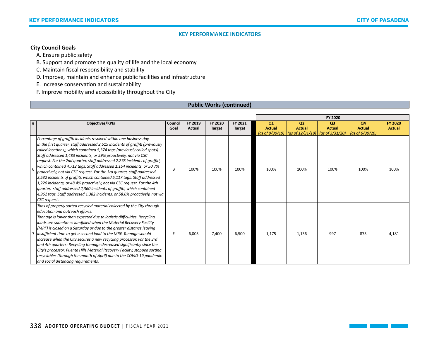# **City Council Goals**

A. Ensure public safety

B. Support and promote the quality of life and the local economy

C. Maintain fiscal responsibility and stability

D. Improve, maintain and enhance public facilities and infrastructure

E. Increase conservation and sustainability

F. Improve mobility and accessibility throughout the City

## **Public Works (continued)**

|   |                                                                                                                                                                                                                                                                                                                                                                                                                                                                                                                                                                                                                                                                                                                                                                                                                                                                    |                 |                          |                          |                          |                                        |                                                                                                               | FY 2020                         |                                                       |                                 |
|---|--------------------------------------------------------------------------------------------------------------------------------------------------------------------------------------------------------------------------------------------------------------------------------------------------------------------------------------------------------------------------------------------------------------------------------------------------------------------------------------------------------------------------------------------------------------------------------------------------------------------------------------------------------------------------------------------------------------------------------------------------------------------------------------------------------------------------------------------------------------------|-----------------|--------------------------|--------------------------|--------------------------|----------------------------------------|---------------------------------------------------------------------------------------------------------------|---------------------------------|-------------------------------------------------------|---------------------------------|
| # | <b>Objectives/KPIs</b>                                                                                                                                                                                                                                                                                                                                                                                                                                                                                                                                                                                                                                                                                                                                                                                                                                             | Council<br>Goal | FY 2019<br><b>Actual</b> | FY 2020<br><b>Target</b> | FY 2021<br><b>Target</b> | Q1<br><b>Actual</b><br>(as of 9/30/19) | Q <sub>2</sub><br><b>Actual</b><br>$\left  \frac{\cos \left( \frac{3}{2} \right)}{2} \right $ (as of 3/31/20) | Q <sub>3</sub><br><b>Actual</b> | Q <sub>4</sub><br><b>Actual</b><br>(as of $6/30/20$ ) | <b>FY 2020</b><br><b>Actual</b> |
| 6 | Percentage of graffiti incidents resolved within one business day.<br>In the first quarter, staff addressed 2,515 incidents of graffiti (previously<br>called locations), which contained 5,374 tags (previously called spots).<br>Staff addressed 1,483 incidents, or 59% proactively, not via CSC<br>request. For the 2nd quarter, staff addressed 2,276 incidents of graffiti,<br>which contained 4,712 tags. Staff addressed 1,154 incidents, or 50.7%<br>proactively, not via CSC request. For the 3rd quarter, staff addressed<br>2,532 incidents of graffiti, which contained 5,117 tags. Staff addressed<br>1,220 incidents, or 48.4% proactively, not via CSC request. For the 4th<br>quarter, staff addressed 2,360 incidents of graffiti, which contained<br>4,962 tags. Staff addressed 1,382 incidents, or 58.6% proactively, not via<br>CSC request. | B               | 100%                     | 100%                     | 100%                     | 100%                                   | 100%                                                                                                          | 100%                            | 100%                                                  | 100%                            |
|   | Tons of properly sorted recycled material collected by the City through<br>education and outreach efforts.<br>Tonnage is lower than expected due to logistic difficulties. Recycling<br>loads are sometimes landfilled when the Material Recovery Facility<br>(MRF) is closed on a Saturday or due to the greater distance leaving<br>insufficient time to get a second load to the MRF. Tonnage should<br>increase when the City secures a new recycling processor. For the 3rd<br>and 4th quarters: Recycling tonnage decreased significantly since the<br>City's processor, Puente Hills Material Recovery Facility, stopped sorting<br>recyclables (through the month of April) due to the COVID-19 pandemic<br>and social distancing requirements.                                                                                                            | E               | 6,003                    | 7,400                    | 6,500                    | 1,175                                  | 1,136                                                                                                         | 997                             | 873                                                   | 4,181                           |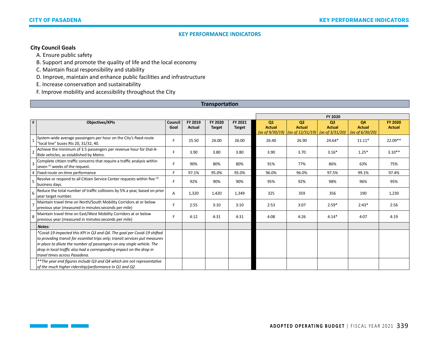# **City Council Goals**

A. Ensure public safety

B. Support and promote the quality of life and the local economy

C. Maintain fiscal responsibility and stability

D. Improve, maintain and enhance public facilities and infrastructure

E. Increase conservation and sustainability

F. Improve mobility and accessibility throughout the City

## **Transportation**

|   |                                                                                                                                                                                                                                                                                                                                            |                 |                          |                          |                          |                                        |                                                                   | FY 2020                                               |                                           |                                 |
|---|--------------------------------------------------------------------------------------------------------------------------------------------------------------------------------------------------------------------------------------------------------------------------------------------------------------------------------------------|-----------------|--------------------------|--------------------------|--------------------------|----------------------------------------|-------------------------------------------------------------------|-------------------------------------------------------|-------------------------------------------|---------------------------------|
| # | <b>Objectives/KPIs</b>                                                                                                                                                                                                                                                                                                                     | Council<br>Goal | FY 2019<br><b>Actual</b> | FY 2020<br><b>Target</b> | FY 2021<br><b>Target</b> | Q1<br><b>Actual</b><br>(as of 9/30/19) | Q <sub>2</sub><br><b>Actual</b><br>$\frac{1}{2}$ (as of 12/31/19) | Q <sub>3</sub><br><b>Actual</b><br>(as of $3/31/20$ ) | Q4<br><b>Actual</b><br>(as of $6/30/20$ ) | <b>FY 2020</b><br><b>Actual</b> |
|   | System-wide average passengers per hour on the City's fixed-route<br>"local line" buses Rts 20, 31/32, 40.                                                                                                                                                                                                                                 | F.              | 25.50                    | 26.00                    | 26.00                    | 26.40                                  | 26.90                                                             | 24.64*                                                | $11.11*$                                  | 22.09**                         |
|   | Achieve the minimum of 3.5 passengers per revenue hour for Dial-A-<br>Ride vehicles, as established by Metro.                                                                                                                                                                                                                              | F               | 3.90                     | 3.80                     | 3.80                     | 3.90                                   | 3.70                                                              | $3.16*$                                               | $1.25*$                                   | $3.10**$                        |
| 3 | Complete citizen traffic concerns that require a traffic analysis within<br>seven (7) weeks of the request.                                                                                                                                                                                                                                | F               | 90%                      | 80%                      | 80%                      | 91%                                    | 77%                                                               | 86%                                                   | 63%                                       | 75%                             |
| 4 | Fixed-route on-time performance                                                                                                                                                                                                                                                                                                            | F.              | 97.1%                    | 95.0%                    | 95.0%                    | 96.0%                                  | 96.0%                                                             | 97.5%                                                 | 99.1%                                     | 97.4%                           |
| 5 | Resolve or respond to all Citizen Service Center requests within five (5)<br>business days.                                                                                                                                                                                                                                                | F               | 92%                      | 90%                      | 90%                      | 95%                                    | 92%                                                               | 98%                                                   | 96%                                       | 95%                             |
| 6 | Reduce the total number of traffic collisions by 5% a year, based on prior<br>year target number.                                                                                                                                                                                                                                          | A               | 1,320                    | 1,420                    | 1,349                    | 325                                    | 359                                                               | 356                                                   | 190                                       | 1,230                           |
|   | Maintain travel time on North/South Mobility Corridors at or below<br>previous year (measured in minutes: seconds per mile)                                                                                                                                                                                                                | F.              | 2:55                     | 3:10                     | 3:10                     | 2:53                                   | 3:07                                                              | $2:59*$                                               | $2:43*$                                   | 2:56                            |
| 8 | Maintain travel time on East/West Mobility Corridors at or below<br>previous year (measured in minutes: seconds per mile)                                                                                                                                                                                                                  | F               | 4:12                     | 4:31                     | 4:31                     | 4:08                                   | 4:26                                                              | $4:14*$                                               | 4:07                                      | 4:19                            |
|   | Notes:                                                                                                                                                                                                                                                                                                                                     |                 |                          |                          |                          |                                        |                                                                   |                                                       |                                           |                                 |
|   | *Covid-19 impacted this KPI in Q3 and Q4. The goal per Covid-19 shifted<br>to providing transit for essential trips only; transit services put measures<br>in place to dilute the number of passengers on any single vehicle. The<br>drop in local traffic also had a corresponding impact on the drop in<br>travel times across Pasadena. |                 |                          |                          |                          |                                        |                                                                   |                                                       |                                           |                                 |
|   | ** The year end figures include Q3 and Q4 which are not representative<br>of the much higher ridership/performance in Q1 and Q2.                                                                                                                                                                                                           |                 |                          |                          |                          |                                        |                                                                   |                                                       |                                           |                                 |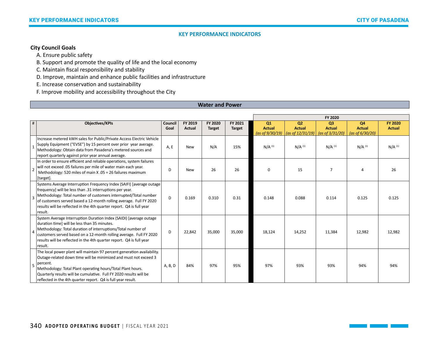# **City Council Goals**

A. Ensure public safety

B. Support and promote the quality of life and the local economy

C. Maintain fiscal responsibility and stability

D. Improve, maintain and enhance public facilities and infrastructure

E. Increase conservation and sustainability

F. Improve mobility and accessibility throughout the City

## **Water and Power**

|                |                                                                                                                                                                                                                                                                                                                                                              |                 |                          |                          |                          |                                        |                                                                    | FY 2020                                   |                                           |                                 |
|----------------|--------------------------------------------------------------------------------------------------------------------------------------------------------------------------------------------------------------------------------------------------------------------------------------------------------------------------------------------------------------|-----------------|--------------------------|--------------------------|--------------------------|----------------------------------------|--------------------------------------------------------------------|-------------------------------------------|-------------------------------------------|---------------------------------|
| $\#$           | <b>Objectives/KPIs</b>                                                                                                                                                                                                                                                                                                                                       | Council<br>Goal | FY 2019<br><b>Actual</b> | FY 2020<br><b>Target</b> | FY 2021<br><b>Target</b> | Q1<br><b>Actual</b><br>(as of 9/30/19) | Q <sub>2</sub><br><b>Actual</b><br>$\frac{1}{10}$ (as of 12/31/19) | Q3<br><b>Actual</b><br>(as of $3/31/20$ ) | Q4<br><b>Actual</b><br>(as of $6/30/20$ ) | <b>FY 2020</b><br><b>Actual</b> |
|                | Increase metered kWH sales for Public/Private Access Electric Vehicle<br>Supply Equipment ("EVSE") by 15 percent over prior year average.<br>Methodology: Obtain data from Pasadena's metered sources and<br>report quarterly against prior year annual average.                                                                                             | A, E            | <b>New</b>               | N/A                      | 15%                      | $N/A$ <sup>(1)</sup>                   | $N/A$ (1)                                                          | $N/A$ <sup>(1)</sup>                      | $N/A$ <sup>(1)</sup>                      | $N/A$ (1)                       |
| $\overline{2}$ | In order to ensure efficient and reliable operations, system failures<br>will not exceed .05 failures per mile of water main each year.<br>Methodology: 520 miles of main X .05 = 26 failures maximum<br>[target].                                                                                                                                           | D               | <b>New</b>               | 26                       | 26                       | $\mathbf 0$                            | 15                                                                 | $\overline{7}$                            | $\overline{A}$                            | 26                              |
| $\overline{3}$ | Systems Average Interruption Frequency Index (SAIFI) [average outage<br>frequency] will be less than .31 interruptions per year.<br>Methodology: Total number of customers interrupted/Total number<br>of customers served based a 12-month rolling average. Full FY 2020<br>results will be reflected in the 4th quarter report. Q4 is full year<br>result. | D               | 0.169                    | 0.310                    | 0.31                     | 0.148                                  | 0.088                                                              | 0.114                                     | 0.125                                     | 0.125                           |
| $\overline{4}$ | System Average Interruption Duration Index (SAIDI) [average outage<br>duration time] will be less than 35 minutes.<br>Methodology: Total duration of interruptions/Total number of<br>customers served based on a 12-month rolling average. Full FY 2020<br>results will be reflected in the 4th quarter report. Q4 is full year<br>result.                  | D               | 22,842                   | 35,000                   | 35,000                   | 18,124                                 | 14,252                                                             | 11,384                                    | 12,982                                    | 12,982                          |
| 5              | The local power plant will maintain 97 percent generation availability.<br>Outage-related down time will be minimized and must not exceed 3<br>percent.<br>Methodology: Total Plant operating hours/Total Plant hours.<br>Quarterly results will be cumulative. Full FY 2020 results will be<br>reflected in the 4th quarter report. Q4 is full year result. | A, B, D         | 84%                      | 97%                      | 95%                      | 97%                                    | 93%                                                                | 93%                                       | 94%                                       | 94%                             |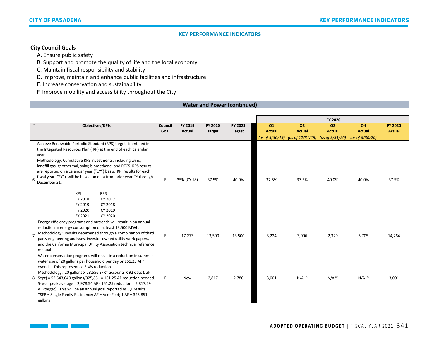# **City Council Goals**

A. Ensure public safety

B. Support and promote the quality of life and the local economy

C. Maintain fiscal responsibility and stability

D. Improve, maintain and enhance public facilities and infrastructure

E. Increase conservation and sustainability

F. Improve mobility and accessibility throughout the City

## **Water and Power (continued)**

|      |                                                                                                                                                                                                                                                                                                                                                                                                                                                                                                                                                           |         |               |               |               |               |                                                                   | FY 2020        |                    |                |
|------|-----------------------------------------------------------------------------------------------------------------------------------------------------------------------------------------------------------------------------------------------------------------------------------------------------------------------------------------------------------------------------------------------------------------------------------------------------------------------------------------------------------------------------------------------------------|---------|---------------|---------------|---------------|---------------|-------------------------------------------------------------------|----------------|--------------------|----------------|
| $\#$ | <b>Objectives/KPIs</b>                                                                                                                                                                                                                                                                                                                                                                                                                                                                                                                                    | Council | FY 2019       | FY 2020       | FY 2021       | Q1            | Q <sub>2</sub>                                                    | Q <sub>3</sub> | Q4                 | <b>FY 2020</b> |
|      |                                                                                                                                                                                                                                                                                                                                                                                                                                                                                                                                                           | Goal    | <b>Actual</b> | <b>Target</b> | <b>Target</b> | <b>Actual</b> | <b>Actual</b>                                                     | <b>Actual</b>  | <b>Actual</b>      | <b>Actual</b>  |
|      |                                                                                                                                                                                                                                                                                                                                                                                                                                                                                                                                                           |         |               |               |               |               | (as of $9/30/19$ ) $\vert$ (as of $12/31/19$ ) (as of $3/31/20$ ) |                | (as of $6/30/20$ ) |                |
| 6    | Achieve Renewable Portfolio Standard (RPS) targets identified in<br>the Integrated Resources Plan (IRP) at the end of each calendar<br>lvear.<br>Methodology: Cumulative RPS investments, including wind,<br>landfill gas, geothermal, solar, biomethane, and RECS. RPS results<br>are reported on a calendar year ("CY") basis. KPI results for each<br>fiscal year ("FY") will be based on data from prior year CY through<br>December 31.<br>KPI<br><b>RPS</b><br>FY 2018<br>CY 2017<br>CY 2018<br>FY 2019<br>FY 2020<br>CY 2019<br>FY 2021<br>CY 2020 | E       | 35% (CY 18)   | 37.5%         | 40.0%         | 37.5%         | 37.5%                                                             | 40.0%          | 40.0%              | 37.5%          |
|      | Energy efficiency programs and outreach will result in an annual<br>reduction in energy consumption of at least 13,500 MWh.<br>Methodology: Results determined through a combination of third<br>party engineering analyses, investor-owned utility work papers,<br>and the California Municipal Utility Association technical reference<br>manual.                                                                                                                                                                                                       | E       | 17,273        | 13,500        | 13,500        | 3,224         | 3,006                                                             | 2,329          | 5,705              | 14,264         |
|      | Water conservation programs will result in a reduction in summer<br>water use of 20 gallons per household per day or 161.25 AF*<br>overall. This represents a 5.4% reduction.<br>Methodology: 20 gallons X 28,556 SFR* accounts X 92 days (Jul-<br>8   Sept) = 52,543,040 gallons/325,851 = 161.25 AF reduction needed.<br>5-year peak average = 2,978.54 AF - 161.25 reduction = 2,817.29<br>AF (target). This will be an annual goal reported as Q1 results.<br>*SFR = Single Family Residence; AF = Acre Feet; 1 AF = 325,851<br>gallons               | E       | <b>New</b>    | 2,817         | 2,786         | 3,001         | $N/A$ (2)                                                         | $N/A^{(2)}$    | $N/A$ (2)          | 3,001          |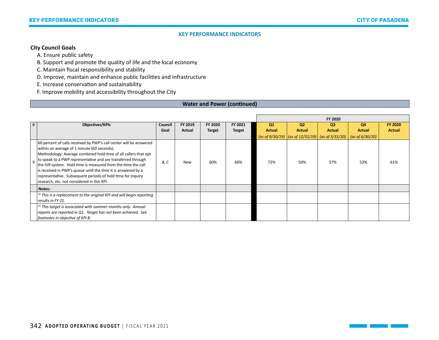# **City Council Goals**

A. Ensure public safety

B. Support and promote the quality of life and the local economy

C. Maintain fiscal responsibility and stability

D. Improve, maintain and enhance public facilities and infrastructure

E. Increase conservation and sustainability

F. Improve mobility and accessibility throughout the City

## **Water and Power (continued)**

|   |                                                                                                                   |         |            |               |               |                |                                                                     | FY 2020        |                    |                |
|---|-------------------------------------------------------------------------------------------------------------------|---------|------------|---------------|---------------|----------------|---------------------------------------------------------------------|----------------|--------------------|----------------|
| # | <b>Objectives/KPIs</b>                                                                                            | Council | FY 2019    | FY 2020       | FY 2021       | Q <sub>1</sub> | <b>Q2</b>                                                           | Q <sub>3</sub> | Q4                 | <b>FY 2020</b> |
|   |                                                                                                                   | Goal    | Actual     | <b>Target</b> | <b>Target</b> | <b>Actual</b>  | <b>Actual</b>                                                       | <b>Actual</b>  | <b>Actual</b>      | <b>Actual</b>  |
|   |                                                                                                                   |         |            |               |               |                | (as of $9/30/19$ ) $\vert$ (as of 12/31/19) $\vert$ (as of 3/31/20) |                | (as of $6/30/20$ ) |                |
|   | 60 percent of calls received by PWP's call center will be answered<br>within an average of 1 minute (60 seconds). |         |            |               |               |                |                                                                     |                |                    |                |
|   | Methodology: Average combined hold time of all callers that opt                                                   |         |            |               |               |                |                                                                     |                |                    |                |
| q | to speak to a PWP representative and are transferred through                                                      | B, C    | <b>New</b> | 60%           | 60%           | 72%            | 50%                                                                 | 57%            | 53%                | 61%            |
|   | the IVR system. Hold time is measured from the time the call                                                      |         |            |               |               |                |                                                                     |                |                    |                |
|   | is received in PWP's queue until the time it is answered by a                                                     |         |            |               |               |                |                                                                     |                |                    |                |
|   | representative. Subsequent periods of hold time for inquiry                                                       |         |            |               |               |                |                                                                     |                |                    |                |
|   | research, etc. not considered in this KPI.                                                                        |         |            |               |               |                |                                                                     |                |                    |                |
|   | Notes:                                                                                                            |         |            |               |               |                |                                                                     |                |                    |                |
|   | $^{(1)}$ This is a replacement to the original KPI and will begin reporting                                       |         |            |               |               |                |                                                                     |                |                    |                |
|   | results in FY 21.                                                                                                 |         |            |               |               |                |                                                                     |                |                    |                |
|   | $(2)$ This target is associated with summer months only. Annual                                                   |         |            |               |               |                |                                                                     |                |                    |                |
|   | reports are reported in Q1. Target has not been achieved. See                                                     |         |            |               |               |                |                                                                     |                |                    |                |
|   | footnotes in objective of KPI 8.                                                                                  |         |            |               |               |                |                                                                     |                |                    |                |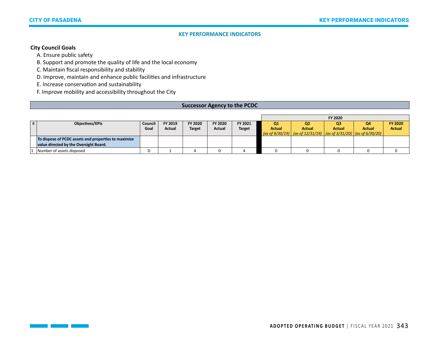# **City Council Goals**

A. Ensure public safety

B. Support and promote the quality of life and the local economy

C. Maintain fiscal responsibility and stability

D. Improve, maintain and enhance public facilities and infrastructure

E. Increase conservation and sustainability

F. Improve mobility and accessibility throughout the City

#### **Successor Agency to the PCDC**

|                                                      |         |               |               |         |               |               |                                                                                                          | FY 2020       |        |                |
|------------------------------------------------------|---------|---------------|---------------|---------|---------------|---------------|----------------------------------------------------------------------------------------------------------|---------------|--------|----------------|
| Objectives/KPIs                                      | Council | FY 2019       | FY 2020       | FY 2020 | FY 2021       | Q1            | Q <sub>2</sub>                                                                                           | O3            | Q4     | <b>FY 2020</b> |
|                                                      | Goal    | <b>Actual</b> | <b>Target</b> | Actual  | <b>Target</b> | <b>Actual</b> | Actual                                                                                                   | <b>Actual</b> | Actual | <b>Actual</b>  |
|                                                      |         |               |               |         |               |               | $\vert$ (as of 9/30/19) $\vert$ (as of 12/31/19) $\vert$ (as of 3/31/20) $\vert$ (as of 6/30/20) $\vert$ |               |        |                |
| To dispose of PCDC assets and properties to maximize |         |               |               |         |               |               |                                                                                                          |               |        |                |
| value directed by the Oversight Board.               |         |               |               |         |               |               |                                                                                                          |               |        |                |
| Number of assets disposed                            | D       |               |               |         |               |               |                                                                                                          |               |        |                |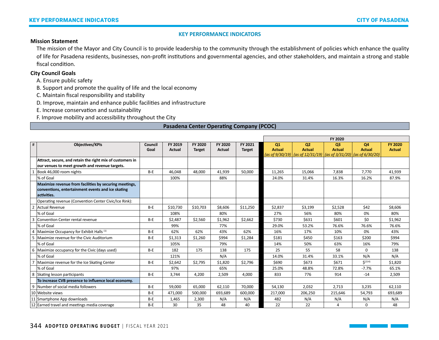#### **Mission Statement**

The mission of the Mayor and City Council is to provide leadership to the community through the establishment of policies which enhance the quality of life for Pasadena residents, businesses, non-profit institutions and governmental agencies, and other stakeholders, and maintain a strong and stable fiscal condition.

## **City Council Goals**

- A. Ensure public safety
- B. Support and promote the quality of life and the local economy
- C. Maintain fiscal responsibility and stability
- D. Improve, maintain and enhance public facilities and infrastructure
- E. Increase conservation and sustainability
- F. Improve mobility and accessibility throughout the City

## **Pasadena Center Operating Company (PCOC)**

|   |                                                           |                 |               |               |                          |               |               |                                                                                          | FY 2020                         |                     |                                 |
|---|-----------------------------------------------------------|-----------------|---------------|---------------|--------------------------|---------------|---------------|------------------------------------------------------------------------------------------|---------------------------------|---------------------|---------------------------------|
| # | <b>Objectives/KPIs</b>                                    | Council<br>Goal | FY 2019       | FY 2020       | FY 2020<br><b>Actual</b> | FY 2021       | Q1            | Q <sub>2</sub><br><b>Actual</b>                                                          | Q <sub>3</sub><br><b>Actual</b> | Q4<br><b>Actual</b> | <b>FY 2020</b><br><b>Actual</b> |
|   |                                                           |                 | <b>Actual</b> | <b>Target</b> |                          | <b>Target</b> | <b>Actual</b> | (as of 9/30/19) $\vert$ (as of 12/31/19) $\vert$ (as of 3/31/20) $\vert$ (as of 6/30/20) |                                 |                     |                                 |
|   | Attract, secure, and retain the right mix of customers in |                 |               |               |                          |               |               |                                                                                          |                                 |                     |                                 |
|   | our venues to meet growth and revenue targets.            |                 |               |               |                          |               |               |                                                                                          |                                 |                     |                                 |
|   | Book 46,000 room nights                                   | $B - E$         | 46,048        | 48,000        | 41,939                   | 50,000        | 11,265        | 15,066                                                                                   | 7,838                           | 7,770               | 41,939                          |
|   | % of Goal                                                 |                 | 100%          |               | 88%                      |               | 24.0%         | 31.4%                                                                                    | 16.3%                           | 16.2%               | 87.9%                           |
|   | Maximize revenue from facilities by securing meetings,    |                 |               |               |                          |               |               |                                                                                          |                                 |                     |                                 |
|   | conventions, entertainment events and ice skating         |                 |               |               |                          |               |               |                                                                                          |                                 |                     |                                 |
|   | activities.                                               |                 |               |               |                          |               |               |                                                                                          |                                 |                     |                                 |
|   | Operating revenue (Convention Center Civic/Ice Rink):     |                 |               |               |                          |               |               |                                                                                          |                                 |                     |                                 |
|   | 2 Actual Revenue                                          | $B-E$           | \$10,730      | \$10,703      | \$8,606                  | \$11,250      | \$2,837       | \$3,199                                                                                  | \$2,528                         | \$42                | \$8,606                         |
|   | % of Goal                                                 |                 | 108%          |               | 80%                      |               | 27%           | 56%                                                                                      | 80%                             | 0%                  | 80%                             |
| 3 | Convention Center rental revenue                          | $B-E$           | \$2,487       | \$2,560       | \$1,962                  | \$2,662       | \$730         | \$631                                                                                    | \$601                           | \$0                 | \$1,962                         |
|   | % of Goal                                                 |                 | 99%           |               | 77%                      |               | 29.0%         | 53.2%                                                                                    | 76.6%                           | 76.6%               | 76.6%                           |
|   | 4   Maximize Occupancy for Exhibit Halls (1)              | $B-E$           | 62%           | 62%           | 43%                      | 62%           | 16%           | 17%                                                                                      | 10%                             | 0%                  | 43%                             |
| 5 | Maximize revenue for the Civic Auditorium                 | $B-E$           | \$1,313       | \$1,260       | \$994                    | \$1,284       | \$181         | \$450                                                                                    | \$163                           | \$200               | \$994                           |
|   | % of Goal                                                 |                 | 105%          |               | 79%                      |               | 14%           | 50%                                                                                      | 63%                             | 16%                 | 79%                             |
|   | 6 Maximize occupancy for the Civic (days used)            | B-E             | 182           | 175           | 138                      | 175           | 25            | 55                                                                                       | 58                              | $\mathbf 0$         | 138                             |
|   | % of Goal                                                 |                 | 121%          |               | N/A                      |               | 14.0%         | 31.4%                                                                                    | 33.1%                           | N/A                 | N/A                             |
|   | Maximize revenue for the Ice Skating Center               | B-E             | \$2,642       | \$2,795       | \$1,820                  | \$2,796       | \$690         | \$673                                                                                    | \$671                           | $\zeta^{(214)}$     | \$1,820                         |
|   | % of Goal                                                 |                 | 97%           |               | 65%                      |               | 25.0%         | 48.8%                                                                                    | 72.8%                           | $-7.7%$             | 65.1%                           |
|   | 8 Skating lesson participants                             | $B-E$           | 3,744         | 4,200         | 2,509                    | 4,000         | 833           | 776                                                                                      | 914                             | $-14$               | 2,509                           |
|   | To increase CVB presence to influence local economy.      |                 |               |               |                          |               |               |                                                                                          |                                 |                     |                                 |
|   | 9 Number of social media followers                        | $B-E$           | 59,000        | 65,000        | 62,110                   | 70,000        | 54,130        | 2,032                                                                                    | 2,713                           | 3,235               | 62,110                          |
|   | 10 Website views                                          | B-E             | 471,000       | 500,000       | 693,689                  | 600,000       | 217,000       | 206,250                                                                                  | 215,646                         | 54,793              | 693,689                         |
|   | 11 Smartphone App downloads                               | B-E             | 1,465         | 2,300         | N/A                      | N/A           | 482           | N/A                                                                                      | N/A                             | N/A                 | N/A                             |
|   | 12 Earned travel and meetings media coverage              | B-E             | 30            | 35            | 48                       | 40            | 22            | 22                                                                                       | 4                               | 0                   | 48                              |

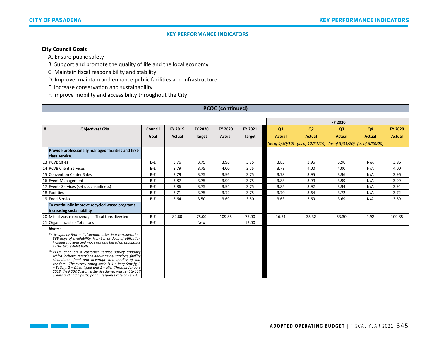٦

#### **KEY PERFORMANCE INDICATORS**

# **City Council Goals**

A. Ensure public safety

B. Support and promote the quality of life and the local economy

C. Maintain fiscal responsibility and stability

D. Improve, maintain and enhance public facilities and infrastructure

E. Increase conservation and sustainability

F. Improve mobility and accessibility throughout the City

## **PCOC (continued)**

|                                                                                                                                                                                                                                                                                                                                                                                                                                  |         |               |               |         |               |               |                                                                                          | FY 2020       |               |                |
|----------------------------------------------------------------------------------------------------------------------------------------------------------------------------------------------------------------------------------------------------------------------------------------------------------------------------------------------------------------------------------------------------------------------------------|---------|---------------|---------------|---------|---------------|---------------|------------------------------------------------------------------------------------------|---------------|---------------|----------------|
| #<br><b>Objectives/KPIs</b>                                                                                                                                                                                                                                                                                                                                                                                                      | Council | FY 2019       | FY 2020       | FY 2020 | FY 2021       | Q1            | Q <sub>2</sub>                                                                           | <b>Q3</b>     | <b>Q4</b>     | <b>FY 2020</b> |
|                                                                                                                                                                                                                                                                                                                                                                                                                                  | Goal    | <b>Actual</b> | <b>Target</b> | Actual  | <b>Target</b> | <b>Actual</b> | <b>Actual</b>                                                                            | <b>Actual</b> | <b>Actual</b> | <b>Actual</b>  |
|                                                                                                                                                                                                                                                                                                                                                                                                                                  |         |               |               |         |               |               | (as of 9/30/19) $\vert$ (as of 12/31/19) $\vert$ (as of 3/31/20) $\vert$ (as of 6/30/20) |               |               |                |
| Provide professionally managed facilities and first-                                                                                                                                                                                                                                                                                                                                                                             |         |               |               |         |               |               |                                                                                          |               |               |                |
| class service.                                                                                                                                                                                                                                                                                                                                                                                                                   |         |               |               |         |               |               |                                                                                          |               |               |                |
| 13 PCVB Sales                                                                                                                                                                                                                                                                                                                                                                                                                    | $B-E$   | 3.76          | 3.75          | 3.96    | 3.75          | 3.85          | 3.96                                                                                     | 3.96          | N/A           | 3.96           |
| 14 PCVB Client Services                                                                                                                                                                                                                                                                                                                                                                                                          | $B-E$   | 3.79          | 3.75          | 4.00    | 3.75          | 3.78          | 4.00                                                                                     | 4.00          | N/A           | 4.00           |
| 15 Convention Center Sales                                                                                                                                                                                                                                                                                                                                                                                                       | $B-E$   | 3.79          | 3.75          | 3.96    | 3.75          | 3.78          | 3.95                                                                                     | 3.96          | N/A           | 3.96           |
| 16 Event Management                                                                                                                                                                                                                                                                                                                                                                                                              | $B-E$   | 3.87          | 3.75          | 3.99    | 3.75          | 3.83          | 3.99                                                                                     | 3.99          | N/A           | 3.99           |
| 17 Events Services (set up, cleanliness)                                                                                                                                                                                                                                                                                                                                                                                         | $B-E$   | 3.86          | 3.75          | 3.94    | 3.75          | 3.85          | 3.92                                                                                     | 3.94          | N/A           | 3.94           |
| 18 Facilities                                                                                                                                                                                                                                                                                                                                                                                                                    | $B-E$   | 3.71          | 3.75          | 3.72    | 3.75          | 3.70          | 3.64                                                                                     | 3.72          | N/A           | 3.72           |
| 19 Food Service                                                                                                                                                                                                                                                                                                                                                                                                                  | $B-E$   | 3.64          | 3.50          | 3.69    | 3.50          | 3.63          | 3.69                                                                                     | 3.69          | N/A           | 3.69           |
| To continually improve recycled waste programs<br>increasing sustainability                                                                                                                                                                                                                                                                                                                                                      |         |               |               |         |               |               |                                                                                          |               |               |                |
| 20 Mixed waste recoverage - Total tons diverted                                                                                                                                                                                                                                                                                                                                                                                  | $B-E$   | 82.60         | 75.00         | 109.85  | 75.00         | 16.31         | 35.32                                                                                    | 53.30         | 4.92          | 109.85         |
| 21 Organic waste - Total tons                                                                                                                                                                                                                                                                                                                                                                                                    | $B-E$   |               | New           |         | 12.00         |               |                                                                                          |               |               |                |
| Notes:                                                                                                                                                                                                                                                                                                                                                                                                                           |         |               |               |         |               |               |                                                                                          |               |               |                |
| $^{(1)}$ Occupancy Rate – Calculation takes into consideration:<br>365 days of availability. Number of days of utilization<br>includes move-in and move out and based on occupancy<br>in the two exhibit halls.                                                                                                                                                                                                                  |         |               |               |         |               |               |                                                                                          |               |               |                |
| (2) PCOC conducts a customer service survey annually<br>which includes questions about sales, services, facility<br>cleanliness, food and beverage and quality of our<br>vendors. The survey rating scale is $4 = \text{Very } Satisfy$ , 3<br>= Satisfy, $2$ = Dissatisfied and $1 - NA$ . Through January<br>2018, the PCOC Customer Service Survey was sent to 117<br>clients and had a participation response rate of 38.9%. |         |               |               |         |               |               |                                                                                          |               |               |                |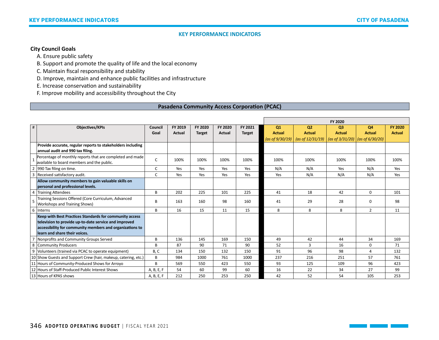## **City Council Goals**

A. Ensure public safety

B. Support and promote the quality of life and the local economy

C. Maintain fiscal responsibility and stability

D. Improve, maintain and enhance public facilities and infrastructure

E. Increase conservation and sustainability

F. Improve mobility and accessibility throughout the City

## **Pasadena Community Access Corporation (PCAC)**

|   |                                                                                                         |            |         |               |               |               |                           |                     | FY 2020        |                                                             |                |
|---|---------------------------------------------------------------------------------------------------------|------------|---------|---------------|---------------|---------------|---------------------------|---------------------|----------------|-------------------------------------------------------------|----------------|
| # | Objectives/KPIs                                                                                         | Council    | FY 2019 | FY 2020       | FY 2020       | FY 2021       | Q1                        | Q <sub>2</sub>      | Q <sub>3</sub> | Q4                                                          | <b>FY 2020</b> |
|   |                                                                                                         | Goal       | Actual  | <b>Target</b> | <b>Actual</b> | <b>Target</b> | <b>Actual</b>             | <b>Actual</b>       | <b>Actual</b>  | <b>Actual</b>                                               | <b>Actual</b>  |
|   |                                                                                                         |            |         |               |               |               | $(\text{as of } 9/30/19)$ | (as of $12/31/19$ ) |                | $\frac{1}{1}$ (as of 3/31/20) $\frac{1}{1}$ (as of 6/30/20) |                |
|   | Provide accurate, regular reports to stakeholders including                                             |            |         |               |               |               |                           |                     |                |                                                             |                |
|   | annual audit and 990 tax filing.                                                                        |            |         |               |               |               |                           |                     |                |                                                             |                |
|   | Percentage of monthly reports that are completed and made<br>available to board members and the public. | C          | 100%    | 100%          | 100%          | 100%          | 100%                      | 100%                | 100%           | 100%                                                        | 100%           |
|   | 990 Tax filing on time.                                                                                 | C          | Yes     | Yes           | Yes           | Yes           | N/A                       | N/A                 | Yes            | N/A                                                         | Yes            |
| 3 | Received satisfactory audit.                                                                            | C          | Yes     | Yes           | Yes           | Yes           | Yes                       | N/A                 | N/A            | N/A                                                         | Yes            |
|   | Allow community members to gain valuable skills on                                                      |            |         |               |               |               |                           |                     |                |                                                             |                |
|   | personal and professional levels.                                                                       |            |         |               |               |               |                           |                     |                |                                                             |                |
|   | 4 Training Attendees                                                                                    | B          | 202     | 225           | 101           | 225           | 41                        | 18                  | 42             | $\Omega$                                                    | 101            |
|   | Training Sessions Offered (Core Curriculum, Advanced<br>Workshops and Training Shows)                   | B          | 163     | 160           | 98            | 160           | 41                        | 29                  | 28             | $\Omega$                                                    | 98             |
|   | 6   Interns                                                                                             | B          | 16      | 15            | 11            | 15            | 8                         | 8                   | 8              | $\overline{2}$                                              | 11             |
|   | Keep with Best Practices Standards for community access                                                 |            |         |               |               |               |                           |                     |                |                                                             |                |
|   | television to provide up-to-date service and improved                                                   |            |         |               |               |               |                           |                     |                |                                                             |                |
|   | accessibility for community members and organizations to                                                |            |         |               |               |               |                           |                     |                |                                                             |                |
|   | learn and share their voices.                                                                           |            |         |               |               |               |                           |                     |                |                                                             |                |
|   | Nonprofits and Community Groups Served                                                                  | B          | 136     | 145           | 169           | 150           | 49                        | 42                  | 44             | 34                                                          | 169            |
|   | 8 Community Producers                                                                                   | B          | 87      | 90            | 71            | 90            | 52                        | 3                   | 16             | $\mathbf 0$                                                 | 71             |
|   | 9 Volunteers (trained via PCAC to operate equipment)                                                    | B, C       | 134     | 150           | 132           | 150           | 91                        | 96                  | 98             | 4                                                           | 132            |
|   | 10 Show Guests and Support Crew (hair, makeup, catering, etc.)                                          | B          | 984     | 1000          | 761           | 1000          | 237                       | 216                 | 251            | 57                                                          | 761            |
|   | 11 Hours of Community-Produced Shows for Arroyo                                                         | B          | 569     | 550           | 423           | 550           | 93                        | 125                 | 109            | 96                                                          | 423            |
|   | 12 Hours of Staff-Produced Public Interest Shows                                                        | A, B, E, F | 54      | 60            | 99            | 60            | 16                        | 22                  | 34             | 27                                                          | 99             |
|   | 13 Hours of KPAS shows                                                                                  | A, B, E, F | 212     | 250           | 253           | 250           | 42                        | 52                  | 54             | 105                                                         | 253            |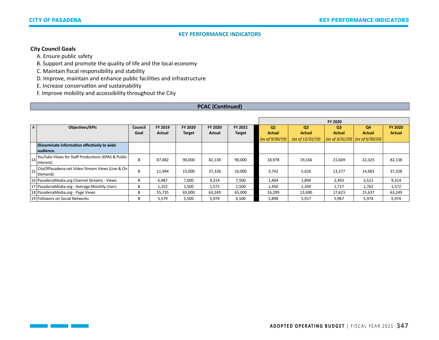# **City Council Goals**

 $\Box$ 

A. Ensure public safety

B. Support and promote the quality of life and the local economy

C. Maintain fiscal responsibility and stability

D. Improve, maintain and enhance public facilities and infrastructure

E. Increase conservation and sustainability

F. Improve mobility and accessibility throughout the City

## **PCAC (Continued)**

|    |                                                    |         |         |         |                |               | FY 2020            |                            |                |                                                         |                |
|----|----------------------------------------------------|---------|---------|---------|----------------|---------------|--------------------|----------------------------|----------------|---------------------------------------------------------|----------------|
| #  | <b>Objectives/KPIs</b>                             | Council | FY 2019 | FY 2020 | <b>FY 2020</b> | FY 2021       | Q <sub>1</sub>     | Q <sub>2</sub>             | O <sub>3</sub> | Q4                                                      | <b>FY 2020</b> |
|    |                                                    | Goal    | Actual  | Target  | Actual         | <b>Target</b> | <b>Actual</b>      | <b>Actual</b>              | <b>Actual</b>  | <b>Actual</b>                                           | <b>Actual</b>  |
|    |                                                    |         |         |         |                |               | (as of $9/30/19$ ) | $(\text{as of } 12/31/19)$ |                | $\vert$ (as of 3/31/20) $\vert$ (as of 6/30/20) $\vert$ |                |
|    | Disseminate information effectively to wide        |         |         |         |                |               |                    |                            |                |                                                         |                |
|    | audience.                                          |         |         |         |                |               |                    |                            |                |                                                         |                |
| 14 | YouTube Views for Staff Productions (KPAS & Public | B       | 87,482  | 90,000  | 82,138         | 90,000        | 18,978             | 19,166                     | 21,669         | 22,325                                                  | 82,138         |
|    | Interest)                                          |         |         |         |                |               |                    |                            |                |                                                         |                |
| 15 | CityOfPasadena.net Video Stream Views (Live & On   | B       | 11,944  | 15,000  | 37,328         | 16,000        | 3,742              | 5,626                      | 13,277         | 14,683                                                  | 37,328         |
|    | Demand)                                            |         |         |         |                |               |                    |                            |                |                                                         |                |
|    | 16 PasadenaMedia.org Channel Streams - Views       | B       | 6,487   | 7,000   | 9,314          | 7,500         | 1,404              | 1,896                      | 2,493          | 3,521                                                   | 9,314          |
|    | 17 PasadenaMedia.org - Average Monthly Users       | B       | 1,252   | 1,500   | 1,572          | 1,500         | 1,450              | 1,349                      | 1,727          | 1,762                                                   | 1,572          |
|    | 18 PasadenaMedia.org - Page Views                  | B       | 55,735  | 65,000  | 63,249         | 65,000        | 16,299             | 13,690                     | 17,623         | 15,637                                                  | 63,249         |
|    | 19 Followers on Social Networks                    | B       | 5,579   | 5,500   | 5,974          | 6,500         | 5,898              | 5,917                      | 5,967          | 5,974                                                   | 5,974          |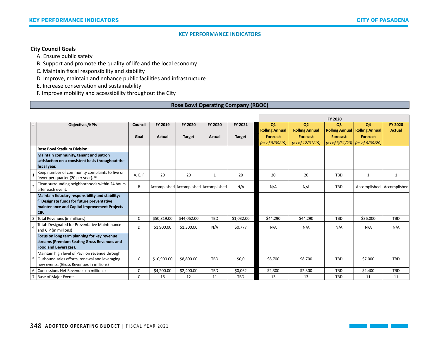## **City Council Goals**

A. Ensure public safety

B. Support and promote the quality of life and the local economy

C. Maintain fiscal responsibility and stability

D. Improve, maintain and enhance public facilities and infrastructure

E. Increase conservation and sustainability

F. Improve mobility and accessibility throughout the City

## **Rose Bowl Operating Company (RBOC)**

|   |                                                   |         |               |               |                                        |               | FY 2020               |                       |                 |                                       |                |
|---|---------------------------------------------------|---------|---------------|---------------|----------------------------------------|---------------|-----------------------|-----------------------|-----------------|---------------------------------------|----------------|
| # | <b>Objectives/KPIs</b>                            | Council | FY 2019       | FY 2020       | FY 2020                                | FY 2021       | Q1                    | Q <sub>2</sub>        | O <sub>3</sub>  | <b>Q4</b>                             | <b>FY 2020</b> |
|   |                                                   |         |               |               |                                        |               | <b>Rolling Annual</b> | <b>Rolling Annual</b> |                 | <b>Rolling Annual Rolling Annual</b>  | <b>Actual</b>  |
|   |                                                   | Goal    | <b>Actual</b> | <b>Target</b> | <b>Actual</b>                          | <b>Target</b> | <b>Forecast</b>       | <b>Forecast</b>       | <b>Forecast</b> | Forecast                              |                |
|   |                                                   |         |               |               |                                        |               | (as of $9/30/19$ )    | (as of $12/31/19$ )   |                 | (as of $3/31/20$ ) (as of $6/30/20$ ) |                |
|   | <b>Rose Bowl Stadium Division:</b>                |         |               |               |                                        |               |                       |                       |                 |                                       |                |
|   | Maintain community, tenant and patron             |         |               |               |                                        |               |                       |                       |                 |                                       |                |
|   | satisfaction on a consistent basis throughout the |         |               |               |                                        |               |                       |                       |                 |                                       |                |
|   | fiscal year.                                      |         |               |               |                                        |               |                       |                       |                 |                                       |                |
|   | Keep number of community complaints to five or    |         | 20            | 20            | $\mathbf{1}$                           | 20            | 20                    | 20                    | <b>TBD</b>      | $\mathbf{1}$                          | $\mathbf{1}$   |
|   | fewer per quarter (20 per year). (1)              | A, E, F |               |               |                                        |               |                       |                       |                 |                                       |                |
|   | Clean surrounding neighborhoods within 24 hours   | B       |               |               | Accomplished Accomplished Accomplished | N/A           | N/A                   | N/A                   | TBD             | Accomplished Accomplished             |                |
|   | after each event.                                 |         |               |               |                                        |               |                       |                       |                 |                                       |                |
|   | Maintain fiduciary responsibility and stability;  |         |               |               |                                        |               |                       |                       |                 |                                       |                |
|   | (2) Designate funds for future preventative       |         |               |               |                                        |               |                       |                       |                 |                                       |                |
|   | maintenance and Capital Improvement Projects-     |         |               |               |                                        |               |                       |                       |                 |                                       |                |
|   | CIP.                                              |         |               |               |                                        |               |                       |                       |                 |                                       |                |
|   | Total Revenues (in millions)                      | C       | \$50,819.00   | \$44,062.00   | TBD                                    | \$1,032.00    | \$44,290              | \$44,290              | TBD             | \$36,000                              | TBD            |
|   | Total- Designated for Preventative Maintenance    | D       | \$1,900.00    | \$1,300.00    | N/A                                    | \$0,777       | N/A                   | N/A                   | N/A             | N/A                                   | N/A            |
|   | and CIP (in millions)                             |         |               |               |                                        |               |                       |                       |                 |                                       |                |
|   | Focus on long term planning for key revenue       |         |               |               |                                        |               |                       |                       |                 |                                       |                |
|   | streams (Premium Seating Gross Revenues and       |         |               |               |                                        |               |                       |                       |                 |                                       |                |
|   | Food and Beverages).                              |         |               |               |                                        |               |                       |                       |                 |                                       |                |
|   | Maintain high level of Pavilion revenue through   |         |               |               |                                        |               |                       |                       |                 |                                       |                |
|   | 5 Outbound sales efforts, renewal and leveraging  | C       | \$10,900.00   | \$8,800.00    | TBD                                    | \$0,0         | \$8,700               | \$8,700               | TBD             | \$7,000                               | TBD            |
|   | new events. (Gross Revenues in millions)          |         |               |               |                                        |               |                       |                       |                 |                                       |                |
|   | 6 Concessions Net Revenues (in millions)          | C       | \$4,200.00    | \$2,400.00    | <b>TBD</b>                             | \$0,062       | \$2,300               | \$2,300               | <b>TBD</b>      | \$2,400                               | <b>TBD</b>     |
|   | 7 Base of Major Events                            | C       | 16            | 12            | 11                                     | <b>TBD</b>    | 13                    | 13                    | <b>TBD</b>      | 11                                    | 11             |